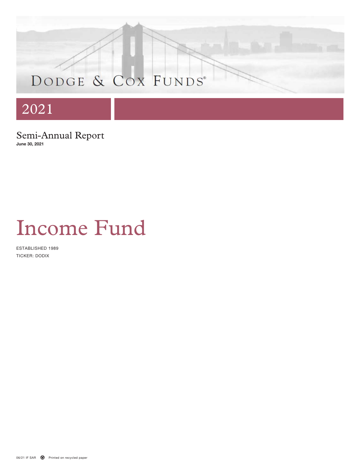# DODGE & COX FUNDS®

# 2021

Semi-Annual Report **June 30, 2021**

# Income Fund

ESTABLISHED 1989 TICKER: DODIX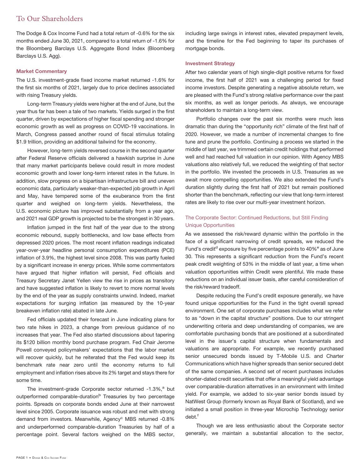# To Our Shareholders

The Dodge & Cox Income Fund had a total return of -0.6% for the six months ended June 30, 2021, compared to a total return of -1.6% for the Bloomberg Barclays U.S. Aggregate Bond Index (Bloomberg Barclays U.S. Agg).

### **Market Commentary**

The U.S. investment-grade fixed income market returned -1.6% for the first six months of 2021, largely due to price declines associated with rising Treasury yields.

Long-term Treasury yields were higher at the end of June, but the year thus far has been a tale of two markets. Yields surged in the first quarter, driven by expectations of higher fiscal spending and stronger economic growth as well as progress on COVID-19 vaccinations. In March, Congress passed another round of fiscal stimulus totaling \$1.9 trillion, providing an additional tailwind for the economy.

However, long-term yields reversed course in the second quarter after Federal Reserve officials delivered a hawkish surprise in June that many market participants believe could result in more modest economic growth and lower long-term interest rates in the future. In addition, slow progress on a bipartisan infrastructure bill and uneven economic data, particularly weaker-than-expected job growth in April and May, have tempered some of the exuberance from the first quarter and weighed on long-term yields. Nevertheless, the U.S. economic picture has improved substantially from a year ago, and 2021 real GDP growth is projected to be the strongest in 30 years.

Inflation jumped in the first half of the year due to the strong economic rebound, supply bottlenecks, and low base effects from depressed 2020 prices. The most recent inflation readings indicated year-over-year headline personal consumption expenditures (PCE) inflation of 3.9%, the highest level since 2008. This was partly fueled by a significant increase in energy prices. While some commentators have argued that higher inflation will persist, Fed officials and Treasury Secretary Janet Yellen view the rise in prices as transitory and have suggested inflation is likely to revert to more normal levels by the end of the year as supply constraints unwind. Indeed, market expectations for surging inflation (as measured by the 10-year breakeven inflation rate) abated in late June.

Fed officials updated their forecast in June indicating plans for two rate hikes in 2023, a change from previous guidance of no increases that year. The Fed also started discussions about tapering its \$120 billion monthly bond purchase program. Fed Chair Jerome Powell conveyed policymakers' expectations that the labor market will recover quickly, but he reiterated that the Fed would keep its benchmark rate near zero until the economy returns to full employment and inflation rises above its 2% target and stays there for some time.

The investment-grade Corporate sector returned -1.3%,<sup>a</sup> but outperformed comparable-duration<sup>b</sup> Treasuries by two percentage points. Spreads on corporate bonds ended June at their narrowest level since 2005. Corporate issuance was robust and met with strong demand from investors. Meanwhile, Agency<sup>c</sup> MBS returned -0.8% and underperformed comparable-duration Treasuries by half of a percentage point. Several factors weighed on the MBS sector, including large swings in interest rates, elevated prepayment levels, and the timeline for the Fed beginning to taper its purchases of mortgage bonds.

### **Investment Strategy**

After two calendar years of high single-digit positive returns for fixed income, the first half of 2021 was a challenging period for fixed income investors. Despite generating a negative absolute return, we are pleased with the Fund's strong relative performance over the past six months, as well as longer periods. As always, we encourage shareholders to maintain a long-term view.

Portfolio changes over the past six months were much less dramatic than during the "opportunity rich" climate of the first half of 2020. However, we made a number of incremental changes to fine tune and prune the portfolio. Continuing a process we started in the middle of last year, we trimmed certain credit holdings that performed well and had reached full valuation in our opinion. With Agency MBS valuations also relatively full, we reduced the weighting of that sector in the portfolio. We invested the proceeds in U.S. Treasuries as we await more compelling opportunities. We also extended the Fund's duration slightly during the first half of 2021 but remain positioned shorter than the benchmark, reflecting our view that long-term interest rates are likely to rise over our multi-year investment horizon.

## The Corporate Sector: Continued Reductions, but Still Finding Unique Opportunities

As we assessed the risk/reward dynamic within the portfolio in the face of a significant narrowing of credit spreads, we reduced the Fund's credit<sup>d</sup> exposure by five percentage points to  $40\%$ <sup>e</sup> as of June 30. This represents a significant reduction from the Fund's recent peak credit weighting of 53% in the middle of last year, a time when valuation opportunities within Credit were plentiful. We made these reductions on an individual issuer basis, after careful consideration of the risk/reward tradeoff.

Despite reducing the Fund's credit exposure generally, we have found unique opportunities for the Fund in the tight overall spread environment. One set of corporate purchases includes what we refer to as "down in the capital structure" positions. Due to our stringent underwriting criteria and deep understanding of companies, we are comfortable purchasing bonds that are positioned at a subordinated level in the issuer's capital structure when fundamentals and valuations are appropriate. For example, we recently purchased senior unsecured bonds issued by T-Mobile U.S. and Charter Communications which have higher spreads than senior secured debt of the same companies. A second set of recent purchases includes shorter-dated credit securities that offer a meaningful yield advantage over comparable-duration alternatives in an environment with limited yield. For example, we added to six-year senior bonds issued by NatWest Group (formerly known as Royal Bank of Scotland), and we initiated a small position in three-year Microchip Technology senior debt.<sup>f</sup>

Though we are less enthusiastic about the Corporate sector generally, we maintain a substantial allocation to the sector,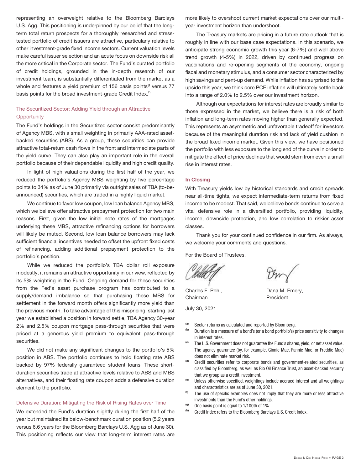representing an overweight relative to the Bloomberg Barclays U.S. Agg. This positioning is underpinned by our belief that the longterm total return prospects for a thoroughly researched and stresstested portfolio of credit issuers are attractive, particularly relative to other investment-grade fixed income sectors. Current valuation levels make careful issuer selection and an acute focus on downside risk all the more critical in the Corporate sector. The Fund's curated portfolio of credit holdings, grounded in the in-depth research of our investment team, is substantially differentiated from the market as a whole and features a yield premium of 156 basis points<sup>g</sup> versus 77 basis points for the broad investment-grade Credit Index.<sup>h</sup>

# The Securitized Sector: Adding Yield through an Attractive **Opportunity**

The Fund's holdings in the Securitized sector consist predominantly of Agency MBS, with a small weighting in primarily AAA-rated assetbacked securities (ABS). As a group, these securities can provide attractive total-return cash flows in the front and intermediate parts of the yield curve. They can also play an important role in the overall portfolio because of their dependable liquidity and high credit quality.

In light of high valuations during the first half of the year, we reduced the portfolio's Agency MBS weighting by five percentage points to 34% as of June 30 primarily via outright sales of TBA (to-beannounced) securities, which are traded in a highly liquid market.

We continue to favor low coupon, low loan balance Agency MBS, which we believe offer attractive prepayment protection for two main reasons. First, given the low initial note rates of the mortgages underlying these MBS, attractive refinancing options for borrowers will likely be muted. Second, low loan balance borrowers may lack sufficient financial incentives needed to offset the upfront fixed costs of refinancing, adding additional prepayment protection to the portfolio's position.

While we reduced the portfolio's TBA dollar roll exposure modestly, it remains an attractive opportunity in our view, reflected by its 5% weighting in the Fund. Ongoing demand for these securities from the Fed's asset purchase program has contributed to a supply/demand imbalance so that purchasing these MBS for settlement in the forward month offers significantly more yield than the previous month. To take advantage of this mispricing, starting last year we established a position in forward settle, TBA Agency 30-year 2% and 2.5% coupon mortgage pass-through securities that were priced at a generous yield premium to equivalent pass-through securities.

We did not make any significant changes to the portfolio's 5% position in ABS. The portfolio continues to hold floating rate ABS backed by 97% federally guaranteed student loans. These shortduration securities trade at attractive levels relative to ABS and MBS alternatives, and their floating rate coupon adds a defensive duration element to the portfolio.

### Defensive Duration: Mitigating the Risk of Rising Rates over Time

We extended the Fund's duration slightly during the first half of the year but maintained its below-benchmark duration position (5.2 years versus 6.6 years for the Bloomberg Barclays U.S. Agg as of June 30). This positioning reflects our view that long-term interest rates are

more likely to overshoot current market expectations over our multiyear investment horizon than undershoot.

The Treasury markets are pricing in a future rate outlook that is roughly in line with our base case expectations. In this scenario, we anticipate strong economic growth this year (6-7%) and well above trend growth (4-5%) in 2022, driven by continued progress on vaccinations and re-opening segments of the economy, ongoing fiscal and monetary stimulus, and a consumer sector characterized by high savings and pent-up demand. While inflation has surprised to the upside this year, we think core PCE inflation will ultimately settle back into a range of 2.0% to 2.5% over our investment horizon.

Although our expectations for interest rates are broadly similar to those expressed in the market, we believe there is a risk of both inflation and long-term rates moving higher than generally expected. This represents an asymmetric and unfavorable tradeoff for investors because of the meaningful duration risk and lack of yield cushion in the broad fixed income market. Given this view, we have positioned the portfolio with less exposure to the long end of the curve in order to mitigate the effect of price declines that would stem from even a small rise in interest rates.

### **In Closing**

With Treasury yields low by historical standards and credit spreads near all-time tights, we expect intermediate-term returns from fixed income to be modest. That said, we believe bonds continue to serve a vital defensive role in a diversified portfolio, providing liquidity, income, downside protection, and low correlation to riskier asset classes.

Thank you for your continued confidence in our firm. As always, we welcome your comments and questions.

For the Board of Trustees,

Charles F. Pohl, Chairman

July 30, 2021

- (a) Sector returns as calculated and reported by Bloomberg.<br>(b) Duration is a magazine of a band's (at a band partfolio)
- Duration is a measure of a bond's (or a bond portfolio's) price sensitivity to changes in interest rates.

Dana M. Emery, President

- (c) The U.S. Government does not guarantee the Fund's shares, yield, or net asset value. The agency guarantee (by, for example, Ginnie Mae, Fannie Mae, or Freddie Mac) does not eliminate market risk.
- (d) Credit securities refer to corporate bonds and government-related securities, as classified by Bloomberg, as well as Rio Oil Finance Trust, an asset-backed security that we group as a credit investment.
- (e) Unless otherwise specified, weightings include accrued interest and all weightings and characteristics are as of June 30, 2021.
- $(6)$  The use of specific examples does not imply that they are more or less attractive investments than the Fund's other holdings.
- $(9)$  One basis point is equal to 1/100th of 1%.
- (h) Credit Index refers to the Bloomberg Barclays U.S. Credit Index.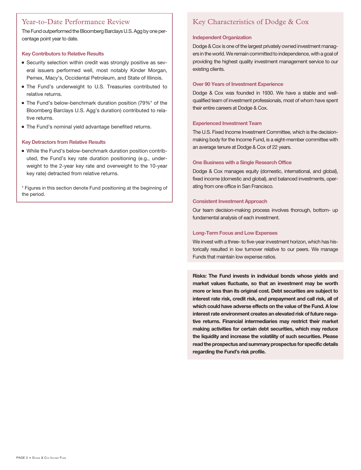# Year-to-Date Performance Review

The Fund outperformed the Bloomberg Barclays U.S. Agg by one percentage point year to date.

### **Key Contributors to Relative Results**

- Security selection within credit was strongly positive as several issuers performed well, most notably Kinder Morgan, Pemex, Macy's, Occidental Petroleum, and State of Illinois.
- **The Fund's underweight to U.S. Treasuries contributed to** relative returns.
- The Fund's below-benchmark duration position (79%\* of the Bloomberg Barclays U.S. Agg's duration) contributed to relative returns.
- The Fund's nominal yield advantage benefited returns.

## **Key Detractors from Relative Results**

- While the Fund's below-benchmark duration position contributed, the Fund's key rate duration positioning (e.g., underweight to the 2-year key rate and overweight to the 10-year key rate) detracted from relative returns.

\* Figures in this section denote Fund positioning at the beginning of the period.

# Key Characteristics of Dodge & Cox

### **Independent Organization**

Dodge & Cox is one of the largest privately owned investment managers in the world.We remain committed to independence, with a goal of providing the highest quality investment management service to our existing clients.

### **Over 90 Years of Investment Experience**

Dodge & Cox was founded in 1930. We have a stable and wellqualified team of investment professionals, most of whom have spent their entire careers at Dodge & Cox.

### **Experienced Investment Team**

The U.S. Fixed Income Investment Committee, which is the decisionmaking body for the Income Fund, is a eight-member committee with an average tenure at Dodge & Cox of 22 years.

### **One Business with a Single Research Office**

Dodge & Cox manages equity (domestic, international, and global), fixed income (domestic and global), and balanced investments, operating from one office in San Francisco.

### **Consistent Investment Approach**

Our team decision-making process involves thorough, bottom- up fundamental analysis of each investment.

### **Long-Term Focus and Low Expenses**

We invest with a three- to five-year investment horizon, which has historically resulted in low turnover relative to our peers. We manage Funds that maintain low expense ratios.

**Risks: The Fund invests in individual bonds whose yields and market values fluctuate, so that an investment may be worth more or less than its original cost. Debt securities are subject to interest rate risk, credit risk, and prepayment and call risk, all of which could have adverse effects on the value of the Fund. A low interest rate environment creates an elevated risk of future negative returns. Financial intermediaries may restrict their market making activities for certain debt securities, which may reduce the liquidity and increase the volatility of such securities. Please read the prospectus and summary prospectus for specific details regarding the Fund's risk profile.**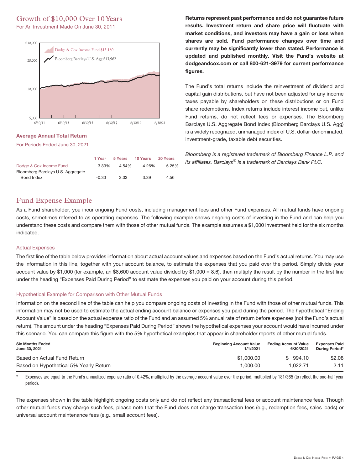# Growth of \$10,000 Over 10Years

For An Investment Made On June 30, 2011



### **Average Annual Total Return**

For Periods Ended June 30, 2021

|                                   | 1 Year  | 5 Years | 10 Years | 20 Years |
|-----------------------------------|---------|---------|----------|----------|
| Dodge & Cox Income Fund           | 3.39%   | 4.54%   | 4.26%    | 5.25%    |
| Bloomberg Barclays U.S. Aggregate |         |         |          |          |
| Bond Index                        | $-0.33$ | 3.03    | 3.39     | 4.56     |

**Returns represent past performance and do not guarantee future results. Investment return and share price will fluctuate with market conditions, and investors may have a gain or loss when shares are sold. Fund performance changes over time and currently may be significantly lower than stated. Performance is updated and published monthly. Visit the Fund's website at dodgeandcox.com or call 800-621-3979 for current performance figures.**

The Fund's total returns include the reinvestment of dividend and capital gain distributions, but have not been adjusted for any income taxes payable by shareholders on these distributions or on Fund share redemptions. Index returns include interest income but, unlike Fund returns, do not reflect fees or expenses. The Bloomberg Barclays U.S. Aggregate Bond Index (Bloomberg Barclays U.S. Agg) is a widely recognized, unmanaged index of U.S. dollar-denominated, investment-grade, taxable debt securities.

Bloomberg is a registered trademark of Bloomberg Finance L.P. and its affiliates. Barclays<sup>®</sup> is a trademark of Barclays Bank PLC.

# Fund Expense Example

As a Fund shareholder, you incur ongoing Fund costs, including management fees and other Fund expenses. All mutual funds have ongoing costs, sometimes referred to as operating expenses. The following example shows ongoing costs of investing in the Fund and can help you understand these costs and compare them with those of other mutual funds. The example assumes a \$1,000 investment held for the six months indicated.

## Actual Expenses

The first line of the table below provides information about actual account values and expenses based on the Fund's actual returns. You may use the information in this line, together with your account balance, to estimate the expenses that you paid over the period. Simply divide your account value by \$1,000 (for example, an \$8,600 account value divided by \$1,000 = 8.6), then multiply the result by the number in the first line under the heading "Expenses Paid During Period" to estimate the expenses you paid on your account during this period.

## Hypothetical Example for Comparison with Other Mutual Funds

Information on the second line of the table can help you compare ongoing costs of investing in the Fund with those of other mutual funds. This information may not be used to estimate the actual ending account balance or expenses you paid during the period. The hypothetical "Ending Account Value" is based on the actual expense ratio of the Fund and an assumed 5% annual rate of return before expenses (not the Fund's actual return). The amount under the heading "Expenses Paid During Period" shows the hypothetical expenses your account would have incurred under this scenario. You can compare this figure with the 5% hypothetical examples that appear in shareholder reports of other mutual funds.

| <b>Six Months Ended</b><br>June 30, 2021 | <b>Beginning Account Value</b><br>1/1/2021 | <b>Ending Account Value</b><br>6/30/2021 | <b>Expenses Paid</b><br><b>During Period*</b> |
|------------------------------------------|--------------------------------------------|------------------------------------------|-----------------------------------------------|
| Based on Actual Fund Return              | \$1,000,00                                 | \$994.10                                 | \$2.08                                        |
| Based on Hypothetical 5% Yearly Return   | 1.000.00                                   | 1.022.71                                 | 2.11                                          |

Expenses are equal to the Fund's annualized expense ratio of 0.42%, multiplied by the average account value over the period, multiplied by 181/365 (to reflect the one-half year period).

The expenses shown in the table highlight ongoing costs only and do not reflect any transactional fees or account maintenance fees. Though other mutual funds may charge such fees, please note that the Fund does not charge transaction fees (e.g., redemption fees, sales loads) or universal account maintenance fees (e.g., small account fees).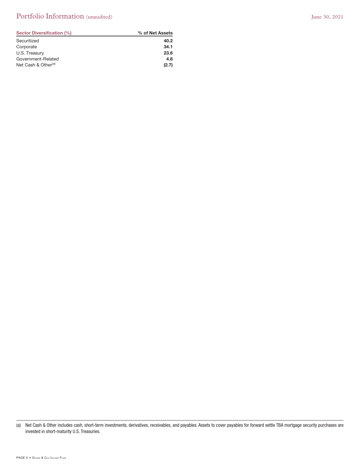# Portfolio Information (unaudited) June 30, 2021

| Sector Diversification (%)      | % of Net Assets |
|---------------------------------|-----------------|
| Securitized                     | 40.2            |
| Corporate                       | 34.1            |
| U.S. Treasury                   | 23.6            |
| Government-Related              | 4.8             |
| Net Cash & Other <sup>(a)</sup> | (2.7)           |

<sup>(</sup>a) Net Cash & Other includes cash, short-term investments, derivatives, receivables, and payables. Assets to cover payables for forward settle TBA mortgage security purchases are invested in short-maturity U.S. Treasuries.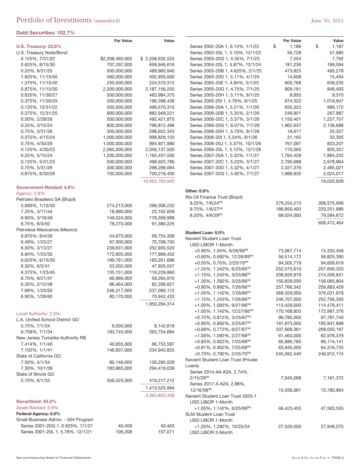## **Debt Securities: 102.7%**

| <b>CDL OCOMINICO, IVE.I</b> /       |                  |                 |                                             |                  |             |
|-------------------------------------|------------------|-----------------|---------------------------------------------|------------------|-------------|
|                                     | <b>Par Value</b> | Value           |                                             | <b>Par Value</b> | Value       |
| U.S. Treasury: 23.6%                |                  |                 | Series 2002-20A 1, 6.14%, 1/1/22            | \$<br>1,186      | \$<br>1,197 |
| U.S. Treasury Note/Bond             |                  |                 | Series 2002-20L 1, 5.10%, 12/1/22           | 56,728           | 57,985      |
| 0.125%, 7/31/22                     | \$2,208,460,000  | \$2,208,632,525 | Series 2003-20G 1, 4.35%, 7/1/23            | 7,554            | 7,762       |
| 0.625%, 8/15/30                     | 707,297,000      | 658,946,616     | Series 2004-20L 1, 4.87%, 12/1/24           | 181,236          | 189,594     |
| 0.25%, 8/31/25                      | 500,000,000      | 489,960,940     | Series 2005-20B 1, 4.625%, 2/1/25           | 473,825          | 495,278     |
| 1.625%, 11/15/50                    | 560,000,000      | 502,950,000     | Series 2005-20D 1, 5.11%, 4/1/25            | 14,608           | 15,404      |
| 1.375%, 11/15/40                    | 250,000,000      | 224,570,312     | Series 2005-20E 1, 4.84%, 5/1/25            | 605,768          | 638,235     |
| 0.875%, 11/15/30                    | 2,300,000,000    | 2,187,156,250   | Series 2005-20G 1, 4.75%, 7/1/25            | 809,191          | 848,493     |
| 0.625%, 11/30/27                    | 500,000,000      | 483,984,375     | Series 2005-20H 1, 5.11%, 8/1/25            | 8,855            | 9,375       |
| 0.375%, 11/30/25                    | 200,000,000      | 196,398,438     | Series 2005-20l 1, 4.76%, 9/1/25            | 974,322          | 1,019,947   |
| 0.125%, 12/31/22                    | 500,000,000      | 499,570,310     | Series 2006-20A 1, 5.21%, 1/1/26            | 835,323          | 888,172     |
| 0.375%, 12/31/25                    | 900,000,000      | 882,949,221     | Series 2006-20B 1, 5.35%, 2/1/26            | 249,921          | 267,987     |
| 0.50%, 2/28/26                      | 500,000,000      | 492,421,875     | Series 2006-20C 1, 5.57%, 3/1/26            | 1,150,401        | 1,227,757   |
| 0.25%, 3/15/24                      | 800,000,000      | 796,812,496     | Series 2006-20G 1, 6.07%, 7/1/26            | 1,962,637        | 2,136,688   |
| 0.75%, 3/31/26                      | 300,000,000      | 298,652,343     | Series 2006-20H 1, 5.70%, 8/1/26            | 18,617           | 20,327      |
| 0.375%, 4/15/24                     | 1,000,000,000    | 998,828,120     | Series 2006-20l 1, 5.54%, 9/1/26            | 31,165           | 33,305      |
| 0.75%, 4/30/26                      | 1,000,000,000    | 994,921,880     | Series 2006-20J 1, 5.37%, 10/1/26           | 767,097          | 823,207     |
| 0.125%, 4/30/23                     | 2,060,000,000    | 2,056,137,500   | Series 2006-20L 1, 5.12%, 12/1/26           | 770,065          | 820,357     |
| 0.25%, 5/15/24                      | 1,200,000,000    | 1,193,437,500   | Series 2007-20A 1, 5.32%, 1/1/27            | 1,764,429        | 1,884,222   |
| 0.125%, 5/31/23                     | 500,000,000      | 498,925,780     | Series 2007-20C 1, 5.23%, 3/1/27            | 2,795,688        | 2,978,964   |
| 0.75%, 5/31/26                      | 300,000,000      | 298,289,064     | Series 2007-20D 1, 5.32%, 4/1/27            | 2,327,376        | 2,485,021   |
| 0.875%, 6/30/26                     | 700,000,000      | 700,218,400     | Series 2007-20G 1, 5.82%, 7/1/27            | 1,889,935        | 2,024,017   |
|                                     |                  | 16,663,763,945  |                                             |                  | 19,020,828  |
| Government-Related: 4.8%            |                  |                 | Other: 0.9%                                 |                  |             |
| Agency: 2.8%                        |                  |                 | Rio Oil Finance Trust (Brazil)              |                  |             |
| Petroleo Brasileiro SA (Brazil)     |                  |                 | $9.25\%$ , $7/6/24^{(a)}$                   | 279,254,213      | 308,575,906 |
| 5.093%, 1/15/30                     | 274,213,000      | 299,306,232     | $9.75\%$ , $1/6/27^{(a)}$                   | 186,850,493      | 220,251,886 |
| 7.25%, 3/17/44                      | 18,890,000       | 23,102,659      | 8.20%, 4/6/28(a)                            | 69,024,000       | 79,584,672  |
| 6.90%, 3/19/49                      | 149,524,000      | 178,269,989     |                                             |                  |             |
| 6.75%, 6/3/50                       | 78,270,000       | 91,380,225      |                                             |                  | 608,412,464 |
| Petroleos Mexicanos (Mexico)        |                  |                 | Student Loan: 5.0%                          |                  |             |
| 6.875%, 8/4/26                      | 54,675,000       | 59,754,308      | Navient Student Loan Trust                  |                  |             |
| 6.49%, 1/23/27                      | 67,000,000       | 70,768,750      | USD LIBOR 1-Month                           |                  |             |
| 6.50%, 3/13/27                      | 239,631,000      | 252,930,520     | $+0.90\%$ , 1.04%, 8/26/69 <sup>(a)</sup>   | 73,067,714       | 74,333,458  |
| 6.84%, 1/23/30                      | 172,605,000      | 177,869,452     | $+0.60\%$ , 0.692%, 12/26/69 <sup>(a)</sup> | 56,514,172       | 56,825,390  |
| 6.625%, 6/15/35                     | 189,761,000      | 183,261,686     | $+0.55\%$ , 0.70%, 2/25/70 <sup>(a)</sup>   | 94,505,719       | 94,609,619  |
| 6.50%, 6/2/41                       | 53,502,000       | 47,926,557      | $+1.25\%$ , 1.342%, 6/25/65 <sup>(a)</sup>  | 252,575,610      | 257,656,320 |
| 6.375%, 1/23/45                     | 135,151,000      | 116,229,860     | +1.15%, 1.242%, 3/25/66 <sup>(a)</sup>      | 208,826,879      | 214,509,831 |
| 6.75%, 9/21/47                      | 66,966,000       | 59,264,910      | $+1.30\%$ , 1.392%, 3/25/66 <sup>(a)</sup>  | 150,828,000      | 156,065,804 |
| 6.35%, 2/12/48                      | 96,464,000       | 82,206,621      | $+0.80\%$ , 0.892%, 7/26/66 <sup>(a)</sup>  | 257,766,342      | 259,883,429 |
| 7.69%, 1/23/50                      | 246,317,000      | 237,080,112     | +1.05%, 1.142%, 7/26/66 <sup>(a)</sup>      | 369,329,000      | 376,031,878 |
| 6.95%, 1/28/60                      | 80,170,000       | 70,942,433      | $+1.15\%, 1.242\%, 7/26/66^{(a)}$           | 246,707,000      | 252,756,305 |
|                                     |                  | 1,950,294,314   | +1.00%, 1.092%, 9/27/66 <sup>(a)</sup>      | 113,429,000      | 114,478,411 |
|                                     |                  |                 | +1.05%, 1.142%, 12/27/66 <sup>(a)</sup>     | 170,168,853      | 172,987,376 |
| Local Authority: 2.0%               |                  |                 | +0.72%, 0.812%, 3/25/67 <sup>(a)</sup>      | 96,785,000       | 97,781,740  |
| L.A. Unified School District GO     |                  |                 | $+0.80\%$ , 0.892%, 3/25/67 <sup>(a)</sup>  | 181,973,000      | 183,947,898 |
| 5.75%, 7/1/34                       | 6,030,000        | 8,142,618       | +0.68%, 0.772%, 6/27/67 <sup>(a)</sup>      | 207,669,361      | 209,050,197 |
| 6.758%, 7/1/34                      | 183,745,000      | 263,754,684     | +1.00%, 1.092%, 2/27/68 <sup>(a)</sup>      | 61,463,000       | 62,976,379  |
| New Jersey Turnpike Authority RB    |                  |                 | $+0.83\%$ , 0.922%, 7/25/68 <sup>(a)</sup>  | 65,886,785       | 66,114,141  |
| 7.414%, 1/1/40                      | 40,655,000       | 66,753,587      | $+0.81\%$ , 0.902%, 7/25/68 <sup>(a)</sup>  | 63,945,000       | 64,316,725  |
| 7.102%, 1/1/41                      | 146,837,000      | 234,943,825     | $+0.70\%$ , 0.792%, 2/25/70 <sup>(a)</sup>  | 245,562,440      | 246,912,174 |
| State of California GO              |                  |                 | Navient Student Loan Trust (Private         |                  |             |
| 7.50%, 4/1/34                       | 80,146,000       | 126,295,029     | Loans)                                      |                  |             |
| 7.30%, 10/1/39                      | 183,965,000      | 294,419,039     | Series 2014-AA A2A, 2.74%,                  |                  |             |
| State of Illinois GO                |                  |                 | $2/15/29^{(a)}$                             | 7,045,088        | 7,161,372   |
| 5.10%, 6/1/33                       | 356,525,000      | 419,217,212     | Series 2017-A A2A, 2.88%,                   |                  |             |
|                                     |                  | 1,413,525,994   | $12/16/58^{(a)}$                            | 15,556,061       | 15,780,864  |
|                                     |                  | 3,363,820,308   | Navient Student Loan Trust 2020-1           |                  |             |
| Securitized: 40.2%                  |                  |                 | USD LIBOR 1-Month                           |                  |             |
| Asset-Backed: 5.9%                  |                  |                 | $+1.05\%$ , 1.142%, 6/25/69 <sup>(a)</sup>  | 46,423,455       | 47,563,555  |
| Federal Agency: 0.0%                |                  |                 | <b>SLM Student Loan Trust</b>               |                  |             |
| Small Business Admin. - 504 Program |                  |                 | USD LIBOR 1-Month                           |                  |             |
| Series 2001-20G 1, 6.625%, 7/1/21   | 40,459           | 40,463          | +1.20%, 1.292%, 10/25/34                    | 27,526,000       | 27,948,075  |
| Series 2001-20L 1, 5.78%, 12/1/21   | 106,208          | 107,071         | USD LIBOR 3-Month                           |                  |             |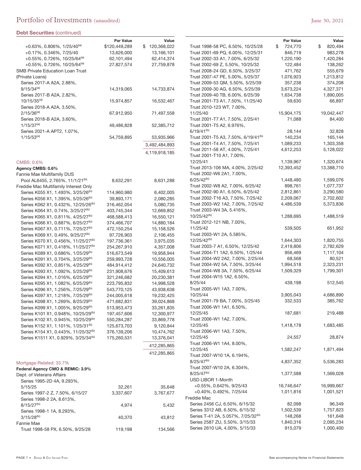| <b>Debt Securities (continued)</b>                                                                 |                          |                          |                                                                      |                      |                          |
|----------------------------------------------------------------------------------------------------|--------------------------|--------------------------|----------------------------------------------------------------------|----------------------|--------------------------|
|                                                                                                    | <b>Par Value</b>         | Value                    |                                                                      | Par Value            | Value                    |
| $+0.63\%$ , 0.806%, 1/25/40 <sup>(a)</sup>                                                         | \$120,449,289            | \$120,368,022            | Trust 1998-58 PC, 6.50%, 10/25/28                                    | \$<br>724,770        | \$<br>820,494<br>983,278 |
| +0.17%, 0.346%, 7/25/40                                                                            | 13,626,000               | 13,166,101               | Trust 2001-69 PQ, 6.00%, 12/25/31                                    | 846,719              |                          |
| $+0.55\%$ , 0.726%, 10/25/64 <sup>(a)</sup><br>$+0.55\%$ , 0.726%, 10/25/64 <sup>(a)</sup>         | 62,101,494<br>27,827,574 | 62,414,374<br>27,759,878 | Trust 2002-33 A1, 7.00%, 6/25/32<br>Trust 2002-69 Z, 5.50%, 10/25/32 | 1,220,190<br>122,484 | 1,420,284<br>138,262     |
| <b>SMB Private Education Loan Trust</b>                                                            |                          |                          | Trust 2008-24 GD, 6.50%, 3/25/37                                     | 471,762              | 555,679                  |
| (Private Loans)                                                                                    |                          |                          | Trust 2007-47 PE, 5.00%, 5/25/37                                     | 1,076,923            | 1,213,812                |
| Series 2017-A A2A, 2.88%,                                                                          |                          |                          | Trust 2009-53 QM, 5.50%, 5/25/39                                     | 357,238              | 374,208                  |
| $9/15/34^{(a)}$                                                                                    | 14,319,065               | 14,733,874               | Trust 2009-30 AG, 6.50%, 5/25/39                                     | 3,673,224            | 4,327,371                |
| Series 2017-B A2A, 2.82%,                                                                          |                          |                          | Trust 2009-40 TB, 6.00%, 6/25/39                                     | 1,634,738            | 1,890,005                |
| $10/15/35^{(a)}$                                                                                   | 15,974,857               | 16,532,467               | Trust 2001-T3 A1, 7.50%, 11/25/40                                    | 59,630               | 66,897                   |
| Series 2018-A A2A, 3.50%,                                                                          |                          |                          | Trust 2010-123 WT, 7.00%,                                            |                      |                          |
| $2/15/36^{(a)}$                                                                                    | 67,912,950               | 71,497,558               | 11/25/40                                                             | 15,904,175           | 19,042,447               |
| Series 2018-B A2A, 3.60%,                                                                          |                          |                          | Trust 2001-T7 A1, 7.50%, 2/25/41                                     | 71,088               | 84,400                   |
| $1/15/37^{(a)}$                                                                                    | 49,486,828               | 52,385,712               | Trust 2001-T5 A2, 6.976%,                                            |                      |                          |
| Series 2021-A APT2, 1.07%,                                                                         |                          |                          | $6/19/41^{(b)}$                                                      | 28,144               | 32,828                   |
| $1/15/53^{(a)}$                                                                                    | 54,759,895               | 53,935,966               | Trust 2001-T5 A3, 7.50%, 6/19/41 <sup>(b)</sup>                      | 140,234              | 165,144                  |
|                                                                                                    |                          | 3,492,484,893            | Trust 2001-T4 A1, 7.50%, 7/25/41                                     | 1,089,233            | 1,303,358                |
|                                                                                                    |                          | 4,119,918,185            | Trust 2011-58 AT, 4.00%, 7/25/41<br>Trust 2001-T10 A1, 7.00%,        | 4,612,253            | 5,128,022                |
|                                                                                                    |                          |                          | 12/25/41                                                             | 1,139,967            | 1,320,674                |
| CMBS: 0.6%<br>Agency CMBS: 0.6%                                                                    |                          |                          | Trust 2013-106 MA, 4.00%, 2/25/42                                    | 12,393,452           | 13,388,710               |
| Fannie Mae Multifamily DUS                                                                         |                          |                          | Trust 2002-W6 2A1, 7.00%,                                            |                      |                          |
| Pool AL6455, 2.765%, 11/1/21 <sup>(b)</sup>                                                        | 8,632,291                | 8,631,288                | $6/25/42^{(b)}$                                                      | 1,448,480            | 1,599,076                |
| Freddie Mac Multifamily Interest Only                                                              |                          |                          | Trust 2002-W8 A2, 7.00%, 6/25/42                                     | 898.761              | 1,077,737                |
| Series K055 X1, 1.493%, 3/25/26 <sup>(b)</sup>                                                     | 114,960,980              | 6,402,005                | Trust 2002-90 A1, 6.50%, 6/25/42                                     | 2,812,861            | 3,290,580                |
| Series K056 X1, 1.395%, 5/25/26 <sup>(b)</sup>                                                     | 39,893,171               | 2,080,285                | Trust 2002-T16 A3, 7.50%, 7/25/42                                    | 2,209,067            | 2,702,602                |
| Series K062 X1, 0.432%, 12/25/26 <sup>(b)</sup>                                                    | 316,462,054              | 5,080,735                | Trust 2003-W2 1A2, 7.00%, 7/25/42                                    | 4,486,539            | 5,373,836                |
| Series K064 X1, 0.74%, 3/25/27 <sup>(b)</sup>                                                      | 403,745,344              | 12,669,852               | Trust 2003-W4 3A, 5.416%,                                            |                      |                          |
| Series K065 X1, 0.811%, 4/25/27 <sup>(b)</sup>                                                     | 468,588,413              | 16,550,121               | 10/25/42 <sup>(b)</sup>                                              | 1,288,695            | 1,488,519                |
| Series K066 X1, 0.887%, 6/25/27 <sup>(b)</sup>                                                     | 374,466,707              | 14,880,184               | Trust 2012-121 NB, 7.00%,                                            |                      |                          |
| Series K067 X1, 0.711%, 7/25/27 <sup>(b)</sup>                                                     | 472,150,254              | 15,158,526               | 11/25/42                                                             | 539,505              | 651,952                  |
| Series K069 X1, 0.49%, 9/25/27 <sup>(b)</sup>                                                      | 97,726,903               | 2,106,455                | Trust 2003-W1 2A, 5.585%,                                            |                      |                          |
| Series K070 X1, 0.456%, 11/25/27 <sup>(b)</sup>                                                    | 197,736,361              | 3,975,035                | 12/25/42 <sup>(b)</sup>                                              | 1,644,303            | 1,820,755                |
| Series K071 X1, 0.418%, 11/25/27 <sup>(b)</sup>                                                    | 254,267,910              | 4,357,008                | Trust 2003-7 A1, 6.50%, 12/25/42                                     | 2,419,806            | 2,782,629                |
| Series K089 X1, 0.686%, 1/25/29 <sup>(b)</sup>                                                     | 516,673,549              | 19,958,944               | Trust 2004-T1 1A2, 6.50%, 1/25/44                                    | 956,469              | 1,117,104                |
| Series K091 X1, 0.704%, 3/25/29 <sup>(b)</sup>                                                     | 259,993,728              | 10,556,005               | Trust 2004-W2 2A2, 7.00%, 2/25/44                                    | 68,568               | 80,521                   |
| Series K092 X1, 0.851%, 4/25/29 <sup>(b)</sup>                                                     | 484,914,412              | 24,640,732               | Trust 2004-W2 5A, 7.50%, 3/25/44                                     | 1,994,518            | 2,323,231                |
| Series K093 X1, 1.092%, 5/25/29 <sup>(b)</sup>                                                     | 231,908,676              | 15,409,613               | Trust 2004-W8 3A, 7.50%, 6/25/44                                     | 1,509,329            | 1,799,301                |
| Series K094 X1, 1.016%, 6/25/29 <sup>(b)</sup>                                                     | 321,246,682              | 20,230,381               | Trust 2004-W15 1A2, 6.50%,                                           |                      |                          |
| Series K095 X1, 1.082%, 6/25/29 <sup>(b)</sup>                                                     | 223,795,832              | 14,998,528               | 8/25/44                                                              | 439,198              | 512,545                  |
| Series K096 X1, 1.256%, 7/25/29 <sup>(b)</sup>                                                     | 543,770,125              | 43,938,638               | Trust 2005-W1 1A3, 7.00%,                                            |                      |                          |
| Series K097 X1, 1.218%, 7/25/29 <sup>(b)</sup>                                                     | 244,005,618              | 19,232,425               | 10/25/44                                                             | 3,905,043            | 4,686,890                |
| Series K098 X1, 1.269%, 8/25/29 <sup>(b)</sup>                                                     | 471,682,831              | 39,024,868               | Trust 2001-79 BA, 7.00%, 3/25/45                                     | 332,533              | 385,762                  |
| Series K099 X1, 1.005%, 9/25/29 <sup>(b)</sup>                                                     | 513,953,473              | 33,261,835               | Trust 2006-W1 1A1, 6.50%,                                            |                      |                          |
| Series K101 X1, 0.948%, 10/25/29 <sup>(b)</sup>                                                    | 197,457,606              | 12,300,977               | 12/25/45                                                             | 187,681              | 219,488                  |
| Series K102 X1, 0.945%, 10/25/29 <sup>(b)</sup>                                                    | 550,284,287              | 33,869,778               | Trust 2006-W1 1A2, 7.00%,<br>12/25/45                                | 1,418,178            | 1,683,485                |
| Series K152 X1, 1.101%, 1/25/31 <sup>(b)</sup>                                                     | 125,673,703              | 9,120,844                | Trust 2006-W1 1A3, 7.50%,                                            |                      |                          |
| Series K154 X1, 0.443%, 11/25/32 <sup>(b)</sup><br>Series K1511 X1, 0.929%, 3/25/34 <sup>(b)</sup> | 376,139,206              | 10,474,762               | 12/25/45                                                             | 24,557               | 28,874                   |
|                                                                                                    | 175,260,531              | 13,376,041               | Trust 2006-W1 1A4, 8.00%,                                            |                      |                          |
|                                                                                                    |                          | 412,285,865              | 12/25/45                                                             | 1,582,247            | 1,871,494                |
|                                                                                                    |                          | 412,285,865              | Trust 2007-W10 1A, 6.194%,                                           |                      |                          |
| Mortgage-Related: 33.7%                                                                            |                          |                          | $8/25/47^{(b)}$                                                      | 4,837,352            | 5,536,283                |
| Federal Agency CMO & REMIC: 3.9%                                                                   |                          |                          | Trust 2007-W10 2A, 6.304%,                                           |                      |                          |
| Dept. of Veterans Affairs                                                                          |                          |                          | $8/25/47^{(b)}$                                                      | 1,377,588            | 1,569,028                |
| Series 1995-2D 4A, 9.293%,                                                                         |                          |                          | USD LIBOR 1-Month                                                    |                      |                          |
| 5/15/25                                                                                            | 32,261                   | 35,648                   | $+0.55\%$ , 0.642%, 9/25/43                                          | 16,746,647           | 16,999,667               |
| Series 1997-2 Z, 7.50%, 6/15/27                                                                    | 3,337,607                | 3,767,677                | +0.40%, 0.492%, 7/25/44                                              | 1,011,816            | 1,001,521                |
| Series 1998-2 2A, 8.613%,                                                                          |                          |                          | Freddie Mac                                                          |                      |                          |
| $8/15/27^{(b)}$                                                                                    | 4,974                    | 5,432                    | Series 2456 CJ, 6.50%, 6/15/32                                       | 82,098               | 96,349                   |
| Series 1998-1 1A, 8.293%,                                                                          |                          |                          | Series 3312 AB, 6.50%, 6/15/32                                       | 1,502,539            | 1,757,823                |
| $3/15/28^{(b)}$                                                                                    | 40,370                   | 43,812                   | Series T-41 2A, 5.057%, 7/25/32 <sup>(b)</sup>                       | 148,268              | 161,648                  |
| Fannie Mae                                                                                         |                          |                          | Series 2587 ZU, 5.50%, 3/15/33                                       | 1,840,316            | 2,095,234                |
| Trust 1998-58 PX, 6.50%, 9/25/28                                                                   | 119,198                  | 134,566                  | Series 2610 UA, 4.00%, 5/15/33                                       | 915,079              | 1,000,400                |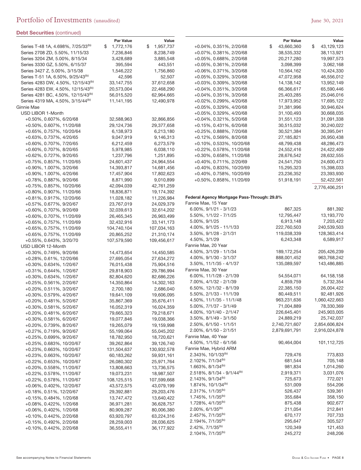| <b>Debt Securities</b> (continued)                                |                          |                           |                                                                    |                         |                         |
|-------------------------------------------------------------------|--------------------------|---------------------------|--------------------------------------------------------------------|-------------------------|-------------------------|
|                                                                   | <b>Par Value</b>         | Value                     |                                                                    | <b>Par Value</b>        | Value                   |
| Series T-48 1A, 4.698%, 7/25/33 <sup>(b)</sup>                    | 1,772,176<br>\$          | \$1,957,737               | +0.04%, 0.351%, 2/20/68                                            | 43,660,360<br>\$        | \$<br>43,129,123        |
| Series 2708 ZD, 5.50%, 11/15/33<br>Series 3204 ZM, 5.00%, 8/15/34 | 7,236,846                | 8,238,749<br>3,885,548    | +0.07%, 0.381%, 2/20/68                                            | 38,535,332              | 38,113,921              |
| Series 3330 GZ, 5.50%, 6/15/37                                    | 3,428,689<br>395,594     | 443,551                   | +0.05%, 0.688%, 2/20/68<br>+0.05%, 0.361%, 2/20/68                 | 20,217,280<br>3,098,399 | 19,997,573<br>3,062,168 |
| Series 3427 Z, 5.00%, 3/15/38                                     | 1,546,222                | 1,756,860                 | +0.06%, 0.371%, 3/20/68                                            | 10,564,162              | 10,424,330              |
| Series T-51 1A, 6.50%, 9/25/43 <sup>(b)</sup>                     | 42,596                   | 52,507                    | +0.05%, 0.329%, 3/20/68                                            | 47,072,958              | 46,556,012              |
| Series 4283 DW, 4.50%, 12/15/43 <sup>(b)</sup>                    | 33,147,755               | 37,612,658                | +0.03%, 0.309%, 3/20/68                                            | 14,138,142              | 13,952,149              |
| Series 4283 EW, 4.50%, 12/15/43 <sup>(b)</sup>                    | 20,573,004               | 22,468,290                | +0.04%, 0.351%, 3/20/68                                            | 66,366,617              | 65,590,446              |
| Series 4281 BC, 4.50%, 12/15/43 <sup>(b)</sup>                    | 56,015,520               | 62,964,665                | +0.04%, 0.351%, 3/20/68                                            | 25,403,285              | 25,046,016              |
| Series 4319 MA, 4.50%, 3/15/44 <sup>(b)</sup>                     | 11,141,195               | 12,490,978                | +0.02%, 0.299%, 4/20/68                                            | 17,973,952              | 17,695,122              |
| Ginnie Mae                                                        |                          |                           | +0.05%, 0.329%, 4/20/68                                            | 31,381,996              | 30,946,624              |
| USD LIBOR 1-Month                                                 |                          |                           | +0.05%, 0.329%, 4/20/68                                            | 31,100,493              | 30,668,035              |
| +0.50%, 0.607%, 6/20/68                                           | 32,588,963               | 32,866,856                | +0.04%, 0.321%, 5/20/68                                            | 31,551,123              | 31,091,338              |
| +0.50%, 0.607%, 11/20/68                                          | 29,124,736               | 29,377,658                | +0.15%, 0.431%, 6/20/68                                            | 30,515,032              | 30,240,022              |
| +0.65%, 0.757%, 10/20/64                                          | 6,138,973                | 6,213,180                 | +0.25%, 0.888%, 7/20/68                                            | 30,521,384              | 30,395,041              |
| +0.63%, 0.737%, 4/20/65                                           | 9,047,919                | 9,146,313                 | +0.12%, 0.569%, 8/20/68                                            | 27,185,821              | 26,950,438              |
| +0.60%, 0.707%, 7/20/65                                           | 6,212,459                | 6,273,579                 | +0.10%, 0.533%, 10/20/68                                           | 48,799,438              | 48,286,473              |
| +0.60%, 0.707%, 8/20/65                                           | 5,978,985                | 6,038,110                 | +0.22%, 0.578%, 11/20/68                                           | 24,552,416              | 24,422,409              |
| +0.62%, 0.727%, 9/20/65                                           | 1,237,796                | 1,251,895                 | +0.30%, 0.658%, 11/20/68                                           | 28,676,542              | 28,632,555              |
| +0.75%, 0.857%, 11/20/65                                          | 24,601,437               | 24,964,554                | +0.40%, 0.711%, 2/20/69                                            | 24,541,750              | 24,600,473              |
| +0.90%, 1.007%, 3/20/66                                           | 14,393,817               | 14,681,456                | +0.40%, 0.833%, 10/20/69                                           | 15,295,323              | 15,398,033              |
| +0.90%, 1.007%, 4/20/66                                           | 17,457,904               | 17,802,623                | +0.40%, 0.758%, 10/20/69                                           | 23,236,352              | 23,393,930              |
| +0.78%, 0.887%, 9/20/66                                           | 8,871,990                | 9,010,899                 | +0.50%, 0.858%, 11/20/69                                           | 51,918,191              | 52,422,561              |
| +0.75%, 0.857%, 10/20/66                                          | 42,094,039               | 42,761,259                |                                                                    |                         | 2,776,406,251           |
| +0.80%, 0.907%, 11/20/66                                          | 18,836,871               | 19,174,392                |                                                                    |                         |                         |
| +0.81%, 0.917%, 12/20/66                                          | 11,028,182               | 11,226,984                | Federal Agency Mortgage Pass-Through: 29.8%<br>Fannie Mae, 15 Year |                         |                         |
| +0.57%, 0.677%, 9/20/67                                           | 23,767,019               | 24,029,379                | $6.00\%$ , $9/1/21 - 3/1/23$                                       |                         |                         |
| $+0.60\%$ , 0.707%, 9/20/69                                       | 32,039,613               | 32,614,202                | $5.50\%$ , $1/1/22 - 7/1/25$                                       | 867,325<br>12,795,447   | 881,392<br>13,193,770   |
| +0.60%, 0.707%, 11/20/69                                          | 26,465,345               | 26,963,499                | 5.00%, 9/1/25                                                      | 6,913,148               | 7,203,422               |
| +0.65%, 0.757%, 11/20/69                                          | 32,432,916               | 33,141,173                | 4.00%, 9/1/25 - 11/1/33                                            | 222,760,503             | 240,539,503             |
| +0.65%, 0.757%, 11/20/69                                          | 104,740,104              | 107,034,163               | $3.50\%$ , $9/1/28 - 2/1/31$                                       | 119,038,339             | 128,363,414             |
| +0.65%, 0.757%, 11/20/69                                          | 20,865,252               | 21,310,174<br>109,456,617 | 4.50%, 3/1/29                                                      | 6,243,348               | 6,589,917               |
| +0.55%, 0.643%, 3/20/70<br>USD LIBOR 12-Month                     | 107,579,590              |                           | Fannie Mae, 20 Year                                                |                         |                         |
| +0.30%, 0.749%, 9/20/66                                           | 14,473,654               | 14,450,585                | 4.50%, 3/1/29 - 1/1/34                                             | 189, 172, 254           | 205,426,239             |
| +0.28%, 0.61%, 12/20/66                                           | 27,695,054               | 27,634,272                | $4.00\%$ , $9/1/30 - 3/1/37$                                       | 888,001,452             | 963,768,242             |
| +0.30%, 0.634%, 1/20/67                                           | 76,015,438               | 75,904,516                | $3.50\%$ , $11/1/35 - 4/1/37$                                      | 135,089,597             | 143,486,885             |
| +0.31%, 0.644%, 1/20/67                                           | 29,818,903               | 29,786,994                | Fannie Mae, 30 Year                                                |                         |                         |
| +0.30%, 0.634%, 1/20/67                                           | 82,804,620               | 82,686,226                | $6.00\%$ , $11/1/28 - 2/1/39$                                      | 54,554,071              | 64,158,158              |
| +0.25%, 0.561%, 2/20/67                                           | 14,350,864               | 14,302,163                | 7.00%, 4/1/32 - 2/1/39                                             | 4,859,759               | 5,732,354               |
| $+0.20\%$ , 0.511%, 3/20/67                                       | 2,700,180                | 2,686,040                 | 6.50%, 12/1/32 - 8/1/39                                            | 22,385,150              | 26,004,422              |
| +0.30%, 0.579%, 4/20/67                                           | 19,641,109               | 19,606,095                | 5.50%, 2/1/33 - 11/1/39                                            | 80,449,511              | 92,481,926              |
| +0.20%, 0.481%, 5/20/67                                           | 35,867,369               | 35,676,411                | 4.50%, 11/1/35 - 11/1/48                                           | 963,231,636             | 1,060,422,663           |
| +0.30%, 0.581%, 5/20/67                                           | 16,052,319               | 16,024,359                | 5.00%, 7/1/37 - 3/1/49                                             | 71,004,889              | 78,330,369              |
| +0.20%, 0.481%, 6/20/67                                           | 79,665,323               | 79,218,671                | 4.00%, 10/1/40 - 2/1/47                                            | 226,645,401             | 245,903,005             |
| $+0.30\%$ , 0.581%, 6/20/67                                       | 19,077,846               | 19,038,366                | $3.50\%$ , $8/1/49 - 3/1/50$                                       | 24,889,219              | 25,742,037              |
| +0.20%, 0.739%, 8/20/67                                           | 19,265,079               | 19,159,998                | $2.50\%$ , $6/1/50 - 1/1/51$                                       | 2,740,721,607           | 2,854,606,824           |
| +0.27%, 0.719%, 9/20/67                                           | 55,199,064               | 55,045,202                | 2.00%, 6/1/50 - 2/1/51                                             | 2,879,691,791           | 2,916,024,878           |
| $+0.25\%$ , 0.699%, 9/20/67                                       | 18,782,950               | 18,720,621                | Fannie Mae, 40 Year                                                |                         |                         |
| +0.25%, 0.683%, 10/20/67                                          | 39,262,864               | 39,126,740                | 4.50%, 1/1/52 - 6/1/56                                             | 90,464,004              | 101,112,725             |
| +0.23%, 0.663%, 10/20/67                                          | 131,504,637              | 130,932,578               | Fannie Mae, Hybrid ARM                                             |                         |                         |
| +0.23%, 0.663%, 10/20/67                                          | 60,183,262               | 59,931,161                | 2.343%, 10/1/33 <sup>(b)</sup>                                     | 729,476                 | 773,833                 |
| +0.22%, 0.653%, 10/20/67                                          | 26,080,302               | 25,971,764                | 2.102%, 7/1/34 <sup>(b)</sup>                                      | 681,544                 | 705,148                 |
| +0.20%, 0.558%, 11/20/67                                          | 13,808,663               | 13,736,575                | 1.663%, 8/1/34 <sup>(b)</sup><br>$2.518\%, 8/1/34 - 9/1/44^{(b)}$  | 981,834<br>2,919,371    | 1,014,260<br>3,031,076  |
| +0.22%, 0.578%, 11/20/67                                          | 19,073,231               | 18,987,507                | 2.143%, 9/1/34 <sup>(b)</sup>                                      | 725,673                 | 772,021                 |
| +0.22%, 0.578%, 11/20/67                                          | 108,125,515              | 107,599,668               | 1.874%, 10/1/34 <sup>(b)</sup>                                     |                         |                         |
| +0.06%, 0.402%, 12/20/67                                          | 43,572,575               | 43,079,199                | $2.317\%, 1/1/35^{(b)}$                                            | 531,009<br>526,437      | 554,206<br>539,361      |
| +0.18%, 0.51%, 12/20/67                                           | 29,392,881               | 29,203,476                | 1.745%, 1/1/35 <sup>(b)</sup>                                      | 355,684                 | 358,150                 |
| +0.15%, 0.484%, 1/20/68<br>+0.08%, 0.422%, 1/20/68                | 13,747,472<br>36,971,281 | 13,640,422<br>36,628,757  | $1.728\%, 4/1/35^{(b)}$                                            | 875,438                 | 902,677                 |
| +0.06%, 0.402%, 1/20/68                                           | 80,909,287               | 80,006,380                | $2.00\%$ , 6/1/35 <sup>(b)</sup>                                   | 211,054                 | 212,841                 |
| +0.10%, 0.442%, 2/20/68                                           | 63,920,797               | 63,224,316                | 2.457%, 7/1/35 <sup>(b)</sup>                                      | 670,177                 | 707,733                 |
| +0.15%, 0.492%, 2/20/68                                           | 28,259,003               | 28,036,625                | 2.194%, 7/1/35 <sup>(b)</sup>                                      | 295,647                 | 305,527                 |
| +0.10%, 0.442%, 2/20/68                                           | 36,555,411               | 36,177,922                | 2.42%, 7/1/35 <sup>(b)</sup>                                       | 120,349                 | 121,453                 |
|                                                                   |                          |                           | $2.104\%, 7/1/35^{(b)}$                                            | 245,272                 | 248,206                 |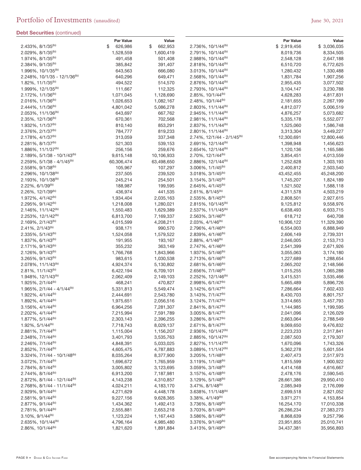|                                                                 | Par Value            | Value                |                                                                 | <b>Par Value</b>       | Value                  |
|-----------------------------------------------------------------|----------------------|----------------------|-----------------------------------------------------------------|------------------------|------------------------|
| 2.433%, 8/1/35 <sup>(b)</sup>                                   | \$<br>626,986        | \$<br>662,953        | 2.736%, 10/1/44 <sup>(b)</sup>                                  | \$2,919,456            | \$ 3,036,035           |
| 2.029%, 8/1/35 <sup>(b)</sup>                                   | 1,528,559            | 1,600,419            | $2.791\%$ , 10/1/44 <sup>(b)</sup>                              | 8,019,736              | 8,334,505              |
| 1.974%, 8/1/35 <sup>(b)</sup>                                   | 491,458              | 501,408              | 2.988%, 10/1/44 <sup>(b)</sup>                                  | 2,548,128              | 2,647,188              |
| $2.384\%, 9/1/35^{(b)}$                                         | 385,842              | 391,407              | $2.818\%, 10/1/44^{(b)}$                                        | 6,510,720              | 6,772,625              |
| 1.996%, 10/1/35 <sup>(b)</sup>                                  | 643,563              | 666,080              | $3.013\%, 10/1/44^{(b)}$                                        | 1,280,432              | 1,330,488              |
| $2.248\%$ , 10/1/35 - 12/1/36 <sup>(b)</sup>                    | 640,296              | 649,471              | $2.568\%, 10/1/44^{(b)}$                                        | 1,831,784              | 1,907,256              |
| $1.82\%, 11/1/35^{(b)}$                                         | 494,522              | 514,570              | 2.876%, 10/1/44 <sup>(b)</sup>                                  | 2,955,435              | 3,077,502              |
| 1.999%, 12/1/35 <sup>(b)</sup>                                  | 111,667              | 112,325              | 2.793%, 10/1/44 <sup>(b)</sup>                                  | 3,104,147              | 3,230,788              |
| $2.172\%, 1/1/36^{(b)}$                                         | 1,071,045            | 1,128,690            | $2.85\%$ , 10/1/44 <sup>(b)</sup>                               | 4,628,283              | 4,817,831              |
| $2.016\%, 1/1/36^{(b)}$                                         | 1,026,653            | 1,082,167            | $2.48\%, 10/1/44^{(b)}$                                         | 2,181,655              | 2,267,199              |
| $2.444\%, 1/1/36^{(b)}$                                         | 4,801,042            | 5,086,278            | 2.803%, 11/1/44 <sup>(b)</sup>                                  | 4,812,077              | 5,006,519              |
| $2.053\%, 11/1/36^{(b)}$                                        | 643,697              | 667,762              | 2.945%, 11/1/44 <sup>(b)</sup>                                  | 4,876,257              | 5,073,682              |
| 2.35%, 12/1/36 <sup>(b)</sup>                                   | 670,361              | 702,568              | $2.981\%, 11/1/44^{(b)}$                                        | 5,335,178              | 5,552,077              |
| $1.932\%, 1/1/37^{(b)}$                                         | 810,140              | 853,291              | $2.837\%$ , 11/1/44 <sup>(b)</sup>                              | 1,525,060              | 1,586,748              |
| $2.376\%, 2/1/37^{(b)}$                                         | 784,777              | 819,233              | $2.801\%$ , 11/1/44 <sup>(b)</sup>                              | 3,313,304              | 3,449,227              |
| 2.178%, 4/1/37 <sup>(b)</sup>                                   | 313,059              | 337,348              | $2.74\%$ , 12/1/44 - 2/1/45 <sup>(b)</sup>                      | 12,300,691             | 12,800,446             |
| $2.281\%, 8/1/37^{(b)}$                                         | 521,303              | 539,153              | $2.691\%, 12/1/44^{(b)}$                                        | 1,398,948              | 1,456,623              |
| 1.886%, 11/1/37 <sup>(b)</sup>                                  | 256,156              | 259,676              | 2.654%, 12/1/44 <sup>(b)</sup>                                  | 1,120,136              | 1,165,586              |
| $2.189\%, 5/1/38 - 10/1/43^{(b)}$                               | 9,615,148            | 10,106,933           | $2.70\%$ , 12/1/44 <sup>(b)</sup>                               | 3,854,451              | 4,013,559              |
| $2.259\%$ , $5/1/38 - 4/1/45$ <sup>(b)</sup>                    | 60,306,474           | 63,498,650           | 2.886%, 12/1/44 <sup>(b)</sup>                                  | 1,252,628              | 1,303,193              |
| $2.558\%$ , 9/1/38 <sup>(b)</sup>                               | 105,967              | 107,297              | $3.006\%$ , $1/1/45^{(b)}$                                      | 2,400,812              | 2,503,540              |
| 2.296%, 10/1/38(b)                                              | 237,505              | 239,520              | $3.018\%, 3/1/45^{(b)}$                                         | 43,452,455             | 45,248,200             |
| 2.193%, 10/1/38 <sup>(b)</sup>                                  | 245,214              | 254,501              | $3.154\%, 3/1/45^{(b)}$                                         | 1,745,207              | 1,824,189              |
| $2.22\%$ , 6/1/39 <sup>(b)</sup>                                | 188,987              | 199,595              | $2.645\%, 4/1/45^{(b)}$                                         | 1,521,502              | 1,588,118              |
| 2.26%, 12/1/39 <sup>(b)</sup>                                   | 436,974              | 441,535              | $2.61\%, 8/1/45^{(b)}$                                          | 4,311,578              | 4,503,219              |
| 1.972%, 4/1/42 <sup>(b)</sup>                                   | 1,934,404            | 2,035,163            | 2.535%, 8/1/45 <sup>(b)</sup>                                   | 2,808,501              | 2,927,615              |
| $2.295\%, 9/1/42^{(b)}$                                         | 1,218,008            | 1,280,021            | 2.815%, 10/1/45 <sup>(b)</sup>                                  | 9,125,812              | 9,558,976              |
| 2.146%, 11/1/42 <sup>(b)</sup>                                  | 1,550,483            | 1,629,389            | 2.537%, 11/1/45 <sup>(b)</sup>                                  | 6,638,493              | 6,933,715              |
| 2.253%, 12/1/42 <sup>(b)</sup>                                  | 6,813,700            | 7,169,337            | $2.563\%, 3/1/46^{(b)}$                                         | 618,712                | 640,708                |
| $2.169\%, 2/1/43^{(b)}$                                         | 4,015,599            | 4,208,211            | $2.03\%, 4/1/46^{(b)}$                                          | 10,906,122             | 11,329,390             |
| 2.41%, 2/1/43 <sup>(b)</sup>                                    | 938,171              | 990,570              | 2.796%, 4/1/46 <sup>(b)</sup>                                   | 6,554,003              | 6,888,949              |
| $2.335\%, 5/1/43^{(b)}$                                         | 1,524,058            | 1,579,522            | $2.839\%, 4/1/46^{(b)}$                                         | 2,606,149              | 2,739,331              |
| 1.837%, 6/1/43 <sup>(b)</sup>                                   | 191,955              | 193,167              | $2.88\%, \frac{4}{1}/46^{(b)}$                                  | 2,046,005              | 2,153,713              |
| $2.171\%, 9/1/43^{(b)}$                                         | 355,232              | 363,149              | 2.747%, 4/1/46 <sup>(b)</sup>                                   | 2,541,399              | 2,671,926              |
| $2.126\%, 9/1/43^{(b)}$                                         | 1,766,768            | 1,843,966            | $1.937\%, 5/1/46^{(b)}$                                         | 3,055,063              | 3,174,180              |
| $3.265\%, 9/1/43^{(b)}$                                         | 983,615              | 1,030,538            | $2.713\%, 6/1/46^{(b)}$                                         | 1,227,689              | 1,288,654              |
| 2.078%, 11/1/43 <sup>(b)</sup>                                  | 4,924,374            | 5,130,802            | 2.681%, 6/1/46 <sup>(b)</sup>                                   | 2,065,202              | 2,148,566              |
| $2.81\%, 11/1/43^{(b)}$                                         | 6,422,194            | 6,709,101            | 2.656%, 7/1/46 <sup>(b)</sup>                                   | 1,015,255              | 1,065,288              |
| 1.948%, 12/1/43 <sup>(b)</sup><br>1.925%, 2/1/44 <sup>(b)</sup> | 2,062,409<br>468,241 | 2,149,103<br>470,827 | 2.252%, 12/1/46 <sup>(b)</sup><br>2.998%, 6/1/47 <sup>(b)</sup> | 3,415,531<br>5,665,489 | 3,535,466<br>5,896,726 |
| $1.965\%$ , $2/1/44 - 4/1/44^{(b)}$                             | 5,331,813            | 5,549,474            | 3.142%, 6/1/47 <sup>(b)</sup>                                   | 7,286,664              | 7,602,433              |
| 1.922%, 4/1/44 <sup>(b)</sup>                                   | 2,444,691            | 2,543,780            | 3.143%, 7/1/47 <sup>(b)</sup>                                   | 8,430,703              | 8,801,757              |
| 1.892%, 4/1/44 <sup>(b)</sup>                                   | 1,975,651            | 2,056,516            | $3.124\%, 7/1/47^{(b)}$                                         | 3,314,665              | 3,457,793              |
| $3.156\%, 4/1/44^{(b)}$                                         | 6,964,256            | 7,281,307            | $2.841\%$ , $8/1/47^{(b)}$                                      | 1,144,985              | 1,199,595              |
| $2.202\%$ , $4/1/44^{(b)}$                                      | 7,215,994            | 7,591,789            | $3.005\%$ , $8/1/47^{(b)}$                                      | 2,041,096              | 2,126,029              |
| 1.877%, 5/1/44 <sup>(b)</sup>                                   | 2,303,143            | 2,396,255            | $3.286\%$ , $8/1/47^{(b)}$                                      | 2,663,064              | 2,788,549              |
| $1.92\%, 5/1/44^{(b)}$                                          | 7,718,743            | 8,029,137            | $2.671\%, 8/1/47^{(b)}$                                         | 9,069,650              | 9,476,832              |
| 2.881%, 7/1/44 <sup>(b)</sup>                                   | 1,115,004            | 1,156,207            | 2.936%, 10/1/47 <sup>(b)</sup>                                  | 2,223,233              | 2,317,841              |
| 2.348%, 7/1/44 <sup>(b)</sup>                                   | 3,401,793            | 3,535,763            | 2.885%, 10/1/47 <sup>(b)</sup>                                  | 2,087,503              | 2,179,307              |
| 2.246%, 7/1/44 <sup>(b)</sup>                                   | 4,848,391            | 5,033,025            | $2.827\%$ , 11/1/47 <sup>(b)</sup>                              | 1,670,096              | 1,743,326              |
| 2.852%, 7/1/44 <sup>(b)</sup>                                   | 4,605,475            | 4,787,883            | $3.089\%, 11/1/47^{(b)}$                                        | 5,362,278              | 5,601,554              |
| $3.324\%$ , $7/1/44 - 10/1/48^{(b)}$                            | 8,035,264            | 8,377,900            | $3.205\%$ , $1/1/48^{(b)}$                                      | 2,407,473              | 2,517,973              |
| 3.072%, 7/1/44 <sup>(b)</sup>                                   | 1,696,672            | 1,765,959            | $3.119\%, 1/1/48^{(b)}$                                         | 1,815,599              | 1,900,922              |
| 2.784%, 8/1/44 <sup>(b)</sup>                                   | 3,005,802            | 3,123,695            | $3.059\%, 3/1/48^{(b)}$                                         | 4,414,168              | 4,616,667              |
| $2.744\%, 8/1/44^{(b)}$                                         | 6,913,200            | 7,187,981            | $3.157\%$ , $4/1/48^{(b)}$                                      | 2,478,176              | 2,590,545              |
| 2.872%, 8/1/44 - 12/1/44 <sup>(b)</sup>                         | 4,143,238            | 4,310,857            | $3.129\%, 5/1/48^{(b)}$                                         | 28,661,386             | 29,950,410             |
| $2.768\%$ , $8/1/44 - 11/1/44^{(b)}$                            | 4,024,211            | 4,183,170            | $3.47\%$ , $8/1/48^{(b)}$                                       | 2,085,949              | 2,176,099              |
| 2.929%, 9/1/44 <sup>(b)</sup>                                   | 4,271,629            | 4,448,178            | $3.638\%, 11/1/48^{(b)}$                                        | 2,699,518              | 2,821,052              |
| $2.581\%, 9/1/44^{(b)}$                                         | 9,227,156            | 9,628,365            | $3.38\%, 4/1/49^{(b)}$                                          | 3,971,271              | 4,153,854              |
| $2.877\%$ , 9/1/44 <sup>(b)</sup>                               | 1,434,362            | 1,492,413            | 3.736%, 8/1/49 <sup>(b)</sup>                                   | 16,254,170             | 17,010,338             |
| 2.781%, 9/1/44 <sup>(b)</sup>                                   | 2,555,881            | 2,653,218            | 3.703%, 8/1/49 <sup>(b)</sup>                                   | 26,286,234             | 27,383,273             |
| $3.10\%$ , $9/1/44^{(b)}$                                       | 1,123,224            | 1,167,443            | $3.586\%$ , $8/1/49^{(b)}$                                      | 8,868,639              | 9,257,796              |
| 2.635%, 10/1/44 <sup>(b)</sup>                                  | 4,796,164            | 4,985,480            | 3.376%, 9/1/49 <sup>(b)</sup>                                   | 23,951,855             | 25,010,741             |
| $2.86\%, 10/1/44^{(b)}$                                         | 1,821,620            | 1,891,884            | $3.413\%, 9/1/49^{(b)}$                                         | 34,437,381             | 35,956,893             |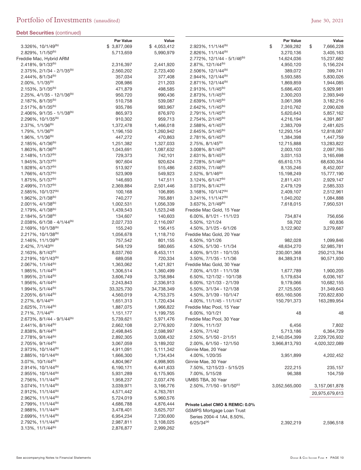| <b>Debt Securities</b> (continued)                              |                          |                          |                                                                  |                              |                              |
|-----------------------------------------------------------------|--------------------------|--------------------------|------------------------------------------------------------------|------------------------------|------------------------------|
|                                                                 | Par Value                | Value                    |                                                                  | Par Value                    | Value                        |
| 3.326%, 10/1/49 <sup>(b)</sup><br>2.829%, 1/1/50 <sup>(b)</sup> | \$3,877,069<br>5,713,659 | \$4,053,412<br>5,990,979 | 2.923%, 11/1/44 <sup>(b)</sup><br>2.826%, 11/1/44 <sup>(b)</sup> | \$<br>7,369,282<br>3,270,136 | \$<br>7,666,228<br>3,405,163 |
| Freddie Mac, Hybrid ARM                                         |                          |                          | $2.772\%$ , 12/1/44 - 5/1/46 <sup>(b)</sup>                      | 14,624,036                   | 15,237,682                   |
| 2.418%, 9/1/33(b)                                               | 2,316,397                | 2,441,920                | 2.87%, 12/1/44 <sup>(b)</sup>                                    | 4,950,120                    | 5,156,224                    |
| $2.375\%$ , $2/1/34 - 2/1/35^{(b)}$                             | 2,560,202                | 2,723,400                | 2.506%, 12/1/44 <sup>(b)</sup>                                   | 389,072                      | 399,741                      |
| 2.444%, 8/1/34 <sup>(b)</sup>                                   | 357,034                  | 377,408                  | 2.944%, 12/1/44 <sup>(b)</sup>                                   | 5,593,585                    | 5,830,026                    |
| 2.00%, 1/1/35 <sup>(b)</sup>                                    | 208,986                  | 211,203                  | 2.871%, 12/1/44 <sup>(b)</sup>                                   | 1,869,859                    | 1,944,085                    |
| $2.153\%, 3/1/35^{(b)}$                                         | 471,879                  | 498,585                  | $2.913\%, 1/1/45^{(b)}$                                          | 5,686,403                    | 5,929,981                    |
| 2.25%, 4/1/35 - 12/1/36(b)                                      | 950,720                  | 990,436                  | 2.873%, 1/1/45 <sup>(b)</sup>                                    | 2,300,203                    | 2,393,949                    |
| 2.187%, 8/1/35 <sup>(b)</sup>                                   | 510,758                  | 539,087                  | 2.639%, 1/1/45 <sup>(b)</sup>                                    | 3,061,398                    | 3,182,216                    |
| 2.517%, 8/1/35 <sup>(b)</sup>                                   | 935,786                  | 983,967                  | $2.642\%$ , $1/1/45^{(b)}$                                       | 2,010,762                    | 2,090,628                    |
| $2.406\%$ , $9/1/35 - 1/1/38^{(b)}$                             | 865,973                  | 876,970                  | $2.791\%, 1/1/45^{(b)}$                                          | 5,620,643                    | 5,857,162                    |
| 2.296%, 10/1/35 <sup>(b)</sup>                                  | 910,302                  | 959,713                  | 2.754%, 2/1/45 <sup>(b)</sup>                                    | 4,216,194                    | 4,391,867                    |
| $2.37\%$ , 1/1/36 <sup>(b)</sup>                                | 1,372,478                | 1,466,018                | $2.588\%, 4/1/45^{(b)}$                                          | 2,383,709                    | 2,481,625                    |
| 1.79%, 1/1/36 <sup>(b)</sup>                                    | 1,196,150                | 1,260,942                | $2.645\%, 5/1/45^{(b)}$                                          | 12,293,154                   | 12,818,087                   |
| 1.96%, 1/1/36 <sup>(b)</sup>                                    | 447,272                  | 470,863                  | 2.781%, 6/1/45 <sup>(b)</sup>                                    | 1,384,398                    | 1,447,759                    |
| $2.185\%, \frac{4}{1/36}$ <sup>(b)</sup>                        | 1,251,382                | 1,327,033                | $2.75\%$ , 8/1/45 <sup>(b)</sup>                                 | 12,715,888                   | 13,283,822                   |
| 1.863%, 8/1/36 <sup>(b)</sup>                                   | 1,043,691                | 1,087,632                | $3.008\%$ , $8/1/45^{(b)}$                                       | 2,003,103                    | 2,097,765                    |
| $2.148\%, 1/1/37^{(b)}$                                         | 729,373                  | 742,101                  | 2.631%, 8/1/45 <sup>(b)</sup>                                    | 3,031,153                    | 3,165,698                    |
| $1.945\%, \frac{3}{1/37}$ <sup>(b)</sup>                        | 907,604                  | 920,624                  | 2.728%, 5/1/46 <sup>(b)</sup>                                    | 65,610,175                   | 68,630,354                   |
| 1.928%, 4/1/37 <sup>(b)</sup>                                   | 513,927                  | 515,486                  | 2.633%, 7/1/46 <sup>(b)</sup>                                    | 8,135,246                    | 8,452,007                    |
| 1.766%, 4/1/37 <sup>(b)</sup>                                   | 523,909                  | 549,923                  | $2.52\%$ , 9/1/46 <sup>(b)</sup>                                 | 15,198,249                   | 15,777,190                   |
| 1.875%, 5/1/37 <sup>(b)</sup>                                   | 146,693                  | 147,511                  | $3.124\%, 6/1/47^{(b)}$                                          | 2,811,431                    | 2,929,147                    |
| 2.499%, 7/1/37 <sup>(b)</sup>                                   | 2,369,884                | 2,501,446                | $3.073\%$ , $8/1/47^{(b)}$                                       | 2,479,129                    | 2,585,333                    |
| 2.585%, 10/1/37(b)                                              | 100,168                  | 106,895                  | 3.168%, 10/1/47 <sup>(b)</sup>                                   | 2,409,107                    | 2,512,961                    |
| $1.962\%, 2/1/38^{(b)}$                                         | 740,277                  | 765,881                  | $3.241\%$ , 11/1/47 <sup>(b)</sup>                               | 1,040,202                    | 1,084,888                    |
| $2.001\%$ , 4/1/38 <sup>(b)</sup>                               | 1,002,531                | 1,056,339                | 3.637%, 2/1/49 <sup>(b)</sup>                                    | 7,618,015                    | 7,950,531                    |
| 2.179%, 4/1/38(b)                                               | 1,439,543                | 1,523,248                | Freddie Mac Gold, 15 Year                                        |                              |                              |
| $2.184\%, 5/1/38^{(b)}$                                         | 134,607                  | 140,603                  | $6.00\%$ , $8/1/21 - 11/1/23$                                    | 734,874                      | 756,656                      |
| $2.038\%$ , 6/1/38 - 4/1/44 <sup>(b)</sup>                      | 2,027,733                | 2,116,097                | 5.50%, 12/1/24                                                   | 59,702                       | 60,836                       |
| $2.169\%, 10/1/38^{(b)}$                                        | 155,240                  | 156,415                  | 4.50%, 3/1/25 - 6/1/26                                           | 3,122,902                    | 3,279,687                    |
| 2.217%, 10/1/38(b)                                              | 1,056,678                | 1,118,710                | Freddie Mac Gold, 20 Year                                        |                              |                              |
| 2.146%, 11/1/39 <sup>(b)</sup>                                  | 757,542                  | 801,155                  | 6.50%, 10/1/26                                                   | 982,028                      | 1,099,846                    |
| $2.42\%, 7/1/43^{(b)}$                                          | 549,129                  | 580,665                  | 4.50%, 5/1/30 - 1/1/34                                           | 48,634,270                   | 52,985,781                   |
| $2.163\%, 8/1/43^{(b)}$                                         | 8,037,760                | 8,453,111                | 4.00%, 9/1/31 - 10/1/35                                          | 230,001,368                  | 250,213,784                  |
| $2.219\%, 10/1/43^{(b)}$                                        | 689,058                  | 720,334                  | $3.50\%$ , $7/1/35 - 1/1/36$                                     | 84,389,318                   | 90,571,930                   |
| 2.067%, 1/1/44 <sup>(b)</sup>                                   | 1,363,062                | 1,421,921                | Freddie Mac Gold, 30 Year                                        |                              |                              |
| 1.985%, 1/1/44 <sup>(b)</sup>                                   | 1,306,514                | 1,360,499                | 7.00%, 4/1/31 - 11/1/38                                          | 1,677,789                    | 1,900,205                    |
| 1.995%, 2/1/44 <sup>(b)</sup>                                   | 3,606,749                | 3,758,984                | 6.50%, 12/1/32 - 10/1/38                                         | 5,179,634                    | 6,036,167                    |
| 1.956%, 4/1/44 <sup>(b)</sup>                                   | 2,243,843                | 2,336,913                | $6.00\%$ , $12/1/33 - 2/1/39$                                    | 9,179,066                    | 10,682,155                   |
| 1.994%, 5/1/44 <sup>(b)</sup>                                   | 33,325,730               | 34,738,349               | 5.50%, 3/1/34 - 12/1/38                                          | 27,125,505                   | 31,349,643                   |
| $2.205\%, 6/1/44^{(b)}$<br>$2.27\%$ , 6/1/44 <sup>(b)</sup>     | 4,560,019                | 4,753,375                | 4.50%, 3/1/39 - 10/1/47                                          | 655,160,506                  | 720,822,830<br>163,289,954   |
|                                                                 | 1,651,313<br>1,887,075   | 1,720,434                | 4.00%, 11/1/45 - 11/1/47                                         | 150,791,373                  |                              |
| $2.625\%, 7/1/44^{(b)}$<br>2.71%, 7/1/44 <sup>(b)</sup>         | 1,151,177                | 1,966,822<br>1,199,755   | Freddie Mac Pool, 15 Year<br>6.00%, 10/1/21                      | 48                           | 48                           |
| 2.673%, 8/1/44 - 9/1/44 <sup>(b)</sup>                          | 5,739,621                | 5,971,476                | Freddie Mac Pool, 30 Year                                        |                              |                              |
| 2.441%, 8/1/44 <sup>(b)</sup>                                   | 2,662,108                | 2,776,920                | 7.00%, 11/1/37                                                   | 6,456                        | 7,802                        |
| 2.838%, 8/1/44 <sup>(b)</sup>                                   | 2,498,845                | 2,598,997                | 4.50%, 7/1/42                                                    | 5,713,186                    | 6,364,729                    |
| 2.778%, 9/1/44 <sup>(b)</sup>                                   | 2,892,305                | 3,008,432                | $2.50\%$ , $5/1/50 - 2/1/51$                                     | 2,140,054,399                | 2,229,726,932                |
| 2.705%, 9/1/44 <sup>(b)</sup>                                   | 3,067,059                | 3,189,202                | 2.00%, 6/1/50 - 12/1/50                                          | 3,966,813,793                | 4,020,322,089                |
| 2.973%, 10/1/44 <sup>(b)</sup>                                  | 4,911,091                | 5,111,342                | Ginnie Mae, 20 Year                                              |                              |                              |
| 2.885%, 10/1/44 <sup>(b)</sup>                                  | 1,666,300                | 1,734,434                | 4.00%, 1/20/35                                                   | 3,951,899                    | 4,202,452                    |
| $3.07\%$ , $10/1/44^{(b)}$                                      | 4,804,967                | 4,998,905                | Ginnie Mae, 30 Year                                              |                              |                              |
| 2.914%, 10/1/44 <sup>(b)</sup>                                  | 6,190,171                | 6,441,633                | 7.50%, 12/15/23 - 5/15/25                                        | 222,215                      | 235,157                      |
| 2.955%, 10/1/44 <sup>(b)</sup>                                  | 5,931,289                | 6,175,905                | 7.00%, 5/15/28                                                   | 96,388                       | 104,759                      |
| 2.756%, 11/1/44 <sup>(b)</sup>                                  | 1,958,237                | 2,037,476                | UMBS TBA, 30 Year                                                |                              |                              |
| $3.074\%$ , 11/1/44 <sup>(b)</sup>                              | 3,039,971                | 3,166,776                | $2.50\%$ , $7/1/50 - 9/1/50$ <sup>(c)</sup>                      | 3,052,565,000                | 3,157,061,878                |
| 2.912%, 11/1/44 <sup>(b)</sup>                                  | 4,571,442                | 4,763,761                |                                                                  |                              | 20,975,679,613               |
| 2.962%, 11/1/44 <sup>(b)</sup>                                  | 5,724,019                | 5,960,576                |                                                                  |                              |                              |
| 2.799%, 11/1/44 <sup>(b)</sup>                                  | 4,686,788                | 4,876,444                | Private Label CMO & REMIC: 0.0%                                  |                              |                              |
| 2.988%, 11/1/44(b)                                              | 3,478,401                | 3,625,707                | GSMPS Mortgage Loan Trust                                        |                              |                              |
| 2.699%, 11/1/44 <sup>(b)</sup>                                  | 6,954,234                | 7,230,600                | Series 2004-4 1A4, 8.50%,                                        |                              |                              |
| 2.792%, 11/1/44 <sup>(b)</sup>                                  | 2,987,811                | 3,108,025                | $6/25/34^{(a)}$                                                  | 2,392,219                    | 2,596,518                    |
| $3.13\%, 11/1/44^{(b)}$                                         | 2,876,877                | 2,999,262                |                                                                  |                              |                              |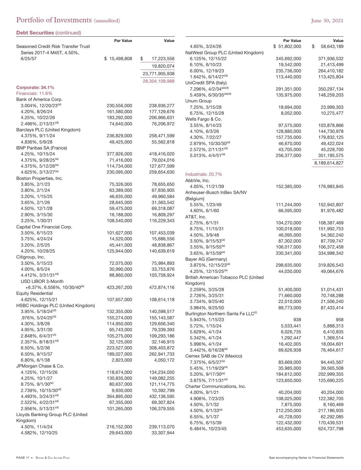| Seasoned Credit Risk Transfer Trust                                 | <b>Par Value</b>          | Value                     |
|---------------------------------------------------------------------|---------------------------|---------------------------|
| Series 2017-4 M45T, 4.50%,                                          |                           |                           |
| 6/25/57                                                             | \$15,498,808              | \$<br>17,223,556          |
|                                                                     |                           | 19,820,074                |
|                                                                     |                           | 23,771,905,938            |
|                                                                     |                           | 28,304,109,988            |
| Corporate: 34.1%                                                    |                           |                           |
| Financials: 11.6%                                                   |                           |                           |
| Bank of America Corp.                                               |                           |                           |
| 3.004%, 12/20/23 <sup>(d)</sup>                                     | 230,556,000               | 238,936,277               |
| 4.20%, 8/26/24                                                      | 161,580,000               | 177,129,676               |
| 4.25%, 10/22/26<br>2.496%, 2/13/31 <sup>(d)</sup>                   | 183,292,000<br>74,640,000 | 206,966,631<br>76,206,972 |
| Barclays PLC (United Kingdom)                                       |                           |                           |
| 4.375%, 9/11/24                                                     | 236,829,000               | 258,471,599               |
| 4.836%, 5/9/28                                                      | 49,425,000                | 55,562,818                |
| <b>BNP Paribas SA (France)</b>                                      |                           |                           |
| 4.25%, 10/15/24                                                     | 377,926,000               | 418,416,020               |
| 4.375%, 9/28/25 <sup>(a)</sup>                                      | 71,416,000                | 79,024,016                |
| 4.375%, 5/12/26 <sup>(a)</sup>                                      | 114,734,000               | 127,677,599               |
| 4.625%, 3/13/27 <sup>(a)</sup>                                      | 230,095,000               | 259,654,630               |
| Boston Properties, Inc.                                             |                           |                           |
| 3.85%, 2/1/23                                                       | 75,326,000                | 78,655,650                |
| 3.80%, 2/1/24                                                       | 63,389,000                | 67,836,905                |
| 3.20%, 1/15/25                                                      | 46,635,000                | 49,960,584                |
| 3.65%, 2/1/26                                                       | 28,645,000                | 31,563,542                |
| 4.50%, 12/1/28                                                      | 59,475,000                | 69,318,087                |
| 2.90%, 3/15/30                                                      | 16,188,000                | 16,809,297                |
| 3.25%, 1/30/31                                                      | 108,540,000               | 116,229,343               |
| Capital One Financial Corp.                                         |                           |                           |
| 3.50%, 6/15/23<br>3.75%, 4/24/24                                    | 101,627,000<br>14,520,000 | 107,453,039<br>15,686,556 |
| 3.20%, 2/5/25                                                       | 45,441,000                | 48,838,867                |
| 4.20%, 10/29/25                                                     | 125,944,000               | 140,639,619               |
| Citigroup, Inc.                                                     |                           |                           |
| 3.50%, 5/15/23                                                      | 72,075,000                | 75,984,893                |
| 4.00%, 8/5/24                                                       | 30,990,000                | 33,753,876                |
| 4.412%, 3/31/31 <sup>(d)</sup>                                      | 88,860,000                | 103,758,924               |
| USD LIBOR 3-Month                                                   |                           |                           |
| $+6.37\%$ , 6.556%, 10/30/40 <sup>(e)</sup>                         | 423,267,200               | 472,874,116               |
| <b>Equity Residential</b>                                           |                           |                           |
| 4.625%, 12/15/21                                                    | 107,657,000               | 108,614,118               |
| HSBC Holdings PLC (United Kingdom)                                  |                           |                           |
| 3.95%, 5/18/24(d)                                                   | 132,355,000               | 140,598,517               |
| .976%, 5/24/25(d)                                                   | 155,274,000               | 155,143,587               |
| 4.30%, 3/8/26                                                       | 114,950,000               | 129,656,340               |
| 4.95%, 3/31/30                                                      | 65,743,000                | 79,339,393                |
| $2.848\%$ , 6/4/31 <sup>(d)</sup><br>2.357%, 8/18/31 <sup>(d)</sup> | 105,275,000               | 109,293,186               |
| 6.50%, 5/2/36                                                       | 32,125,000<br>223,527,000 | 32,146,915<br>308,403,872 |
| 6.50%, 9/15/37                                                      | 189,027,000               | 262,941,733               |
| 6.80%, 6/1/38                                                       | 2,823,000                 | 4,050,172                 |
| JPMorgan Chase & Co.                                                |                           |                           |
| 4.125%, 12/15/26                                                    | 118,674,000               | 134,234,050               |
| 4.25%, 10/1/27                                                      | 130,835,000               | 149,082,255               |
| $8.75\%$ , $9/1/30^{(e)}$                                           | 80,637,000                | 121,114,775               |
| $2.739\%$ , 10/15/30 <sup>(d)</sup>                                 | 9,930,000                 | 10,392,799                |
| 4.493%, 3/24/31 <sup>(d)</sup>                                      | 364,895,000               | 432,136,595               |
| 2.522%, 4/22/31 <sup>(d)</sup>                                      | 67,355,000                | 69,307,824                |
| 2.956%, 5/13/31 <sup>(d)</sup>                                      | 101,265,000               | 106,379,555               |
| Lloyds Banking Group PLC (United                                    |                           |                           |
| Kingdom)                                                            |                           |                           |
| 4.50%, 11/4/24                                                      | 216,152,000               | 239,113,070               |
| 4.582%, 12/10/25                                                    | 29,643,000                | 33,307,944                |

|                                                       | Par Value                 | Value                     |
|-------------------------------------------------------|---------------------------|---------------------------|
| 4.65%, 3/24/26                                        | \$51,802,000              | \$<br>58,643,189          |
| NatWest Group PLC (United Kingdom)                    |                           |                           |
| 6.125%, 12/15/22                                      | 345,692,000               | 371,936,532               |
| 6.10%, 6/10/23                                        | 19,542,000                | 21,413,499                |
| 6.00%, 12/19/23                                       | 235,736,000               | 264,410,182               |
| 1.642%, 6/14/27 <sup>(d)</sup>                        | 113,440,000               | 113,425,804               |
| UniCredit SPA (Italy)                                 |                           |                           |
| 7.296%, 4/2/34 <sup>(a)(d)</sup>                      | 291,351,000               | 350,297,134               |
| 5.459%, 6/30/35 <sup>(a)(d)</sup>                     | 135,975,000               | 148,259,203               |
| Unum Group                                            |                           |                           |
| 7.25%, 3/15/28                                        | 18,694,000                | 23,999,303                |
| 6.75%, 12/15/28                                       | 8,052,000                 | 10,275,477                |
| Wells Fargo & Co.                                     |                           |                           |
| 3.55%, 8/14/23                                        | 97,575,000                | 103,878,866               |
| 4.10%, 6/3/26                                         | 128,880,000               | 144,730,978               |
| 4.30%, 7/22/27                                        | 157,735,000               | 179,832,125               |
| 2.879%, 10/30/30 <sup>(d)</sup>                       | 46,670,000                | 49,422,024                |
| $2.572\%$ , $2/11/31(d)$                              | 43,705,000                | 45,228,700                |
| $5.013\%$ , 4/4/51 <sup>(d)</sup>                     | 256,377,000               | 351,195,575               |
|                                                       |                           | 8,189,614,827             |
|                                                       |                           |                           |
| Industrials: 20.7%                                    |                           |                           |
| AbbVie, Inc.                                          |                           |                           |
| 4.05%, 11/21/39                                       | 152,385,000               | 176,983,845               |
| Anheuser-Busch InBev SA/NV                            |                           |                           |
| (Belgium)                                             |                           |                           |
| 5.55%, 1/23/49                                        | 111,244,000               | 152,942,807               |
| 4.60%, 6/1/60                                         | 66,595,000                | 81,976,482                |
| AT&T, Inc.                                            |                           |                           |
| 2.75%, 6/1/31                                         | 104,270,000               | 108,387,469               |
| 8.75%, 11/15/31                                       | 100,018,000               | 151,992,753               |
| 4.50%, 3/9/48                                         | 46,095,000                | 54,362,240                |
| 3.50%, 9/15/53 <sup>(a)</sup>                         | 87,302,000                | 87,709,747                |
| $3.55\%$ , 9/15/55 <sup>(a)</sup>                     | 106,017,000               | 106,372,458               |
| $3.65\%$ , $9/15/59^{(a)}$                            | 330,341,000               | 334,998,342               |
| Bayer AG (Germany)<br>3.875%, 12/15/23 <sup>(a)</sup> |                           |                           |
| 4.25%, 12/15/25 <sup>(a)</sup>                        | 298,635,000<br>44,030,000 | 319,826,543<br>49,064,676 |
| British American Tobacco PLC (United                  |                           |                           |
| Kingdom)                                              |                           |                           |
| 2.259%, 3/25/28                                       | 51,400,000                | 51,014,431                |
| 2.726%, 3/25/31                                       | 71,660,000                | 70,748,288                |
| 3.734%, 9/25/40                                       | 22,010,000                | 21,506,240                |
| 3.984%, 9/25/50                                       | 89,773,000                | 87,433,414                |
| Burlington Northern Santa Fe LLC <sup>(f)</sup>       |                           |                           |
| 5.943%, 1/15/23                                       | 938                       | 958                       |
| 5.72%, 1/15/24                                        | 5,533,441                 | 5,888,313                 |
| 5.629%, 4/1/24                                        | 6,026,735                 | 6,410,835                 |
| 5.342%, 4/1/24                                        | 1,292,447                 | 1,369,514                 |
| 5.996%, 4/1/24                                        | 16,402,005                | 18,004,601                |
| 3.442%, 6/16/28 <sup>(a)</sup>                        | 69,626,938                | 76,464,617                |
| Cemex SAB de CV (Mexico)                              |                           |                           |
| 7.375%, 6/5/27 <sup>(a)</sup>                         | 83,669,000                | 94,445,567                |
| 5.45%, $11/19/29^{(a)}$                               | 35,985,000                | 39,565,508                |
| 5.20%, 9/17/30 <sup>(a)</sup>                         | 184,612,000               | 202,999,355               |
| 3.875%, 7/11/31 <sup>(a)</sup>                        | 123,650,000               | 125,690,225               |
| Charter Communications, Inc.                          |                           |                           |
| 4.00%, 9/1/21                                         | 40,204,000                | 40,204,000                |
| 4.908%, 7/23/25                                       | 108,025,000               | 122,382,705               |
| 4.50%, 5/1/32                                         | 7,875,000                 | 8,160,469                 |
| $4.50\%$ , 6/1/33 <sup>(a)</sup>                      | 212,250,000               | 217,186,935               |
| 6.55%, 5/1/37                                         | 45,728,000                | 62,292,085                |
| 6.75%, 6/15/39                                        | 122,432,000               | 170,439,531               |
| 6.484%, 10/23/45                                      | 453,635,000               | 624,737,798               |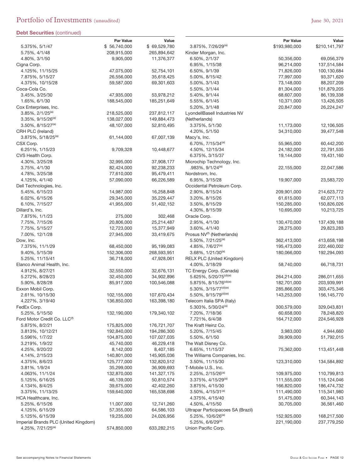|                                                       | <b>Par Value</b>         | Value                   |
|-------------------------------------------------------|--------------------------|-------------------------|
| 5.375%, 5/1/47                                        | \$56,740,000             | \$69,529,780            |
| 5.75%, 4/1/48                                         | 208,915,000              | 265,894,642             |
| 4.80%, 3/1/50                                         | 9,905,000                | 11,376,377              |
| Cigna Corp.                                           |                          |                         |
| 4.125%, 11/15/25                                      | 47,075,000               | 52,754,101              |
| 7.875%, 5/15/27                                       | 26,556,000               | 35,618,425              |
| 4.375%, 10/15/28                                      | 59,587,000               | 69,301,603              |
| Coca-Cola Co.                                         |                          |                         |
| 3.45%, 3/25/30                                        | 47,935,000               | 53,978,212              |
| 1.65%, 6/1/30                                         | 188,545,000              | 185,251,649             |
| Cox Enterprises, Inc.<br>3.85%, 2/1/25 <sup>(a)</sup> | 218,525,000              | 237,812,117             |
| 3.35%, 9/15/26 <sup>(a)</sup>                         | 138,027,000              | 149,884,473             |
| 3.50%, 8/15/27 <sup>(a)</sup>                         | 48,107,000               | 52,810,495              |
| CRH PLC (Ireland)                                     |                          |                         |
| 3.875%, 5/18/25 <sup>(a)</sup>                        | 61,144,000               | 67,007,139              |
| CSX Corp.                                             |                          |                         |
| 6.251%, 1/15/23                                       | 9,709,328                | 10,448,677              |
| CVS Health Corp.                                      |                          |                         |
| 4.30%, 3/25/28                                        | 32,995,000               | 37,908,177              |
| 3.75%, 4/1/30                                         | 82,424,000               | 92,238,233              |
| 4.78%, 3/25/38                                        | 77,610,000               | 95,479,411              |
| 4.125%, 4/1/40                                        | 57,090,000               | 66,226,589              |
| Dell Technologies, Inc.                               |                          |                         |
| 5.45%, 6/15/23                                        | 14,987,000               | 16,258,848              |
| 6.02%, 6/15/26                                        | 29,345,000               | 35,229,447              |
| 6.10%, 7/15/27                                        | 41,955,000               | 51,402,152              |
| Dillard's, Inc.                                       |                          |                         |
| 7.875%, 1/1/23                                        | 275,000                  | 302,468                 |
| 7.75%, 7/15/26                                        | 20,806,000               | 25,214,487              |
| 7.75%, 5/15/27<br>7.00%, 12/1/28                      | 12,723,000<br>27,945,000 | 15,377,949              |
| Dow, Inc.                                             |                          | 33,419,675              |
| 7.375%, 11/1/29                                       | 68,450,000               | 95,199,083              |
| 9.40%, 5/15/39                                        | 152,306,000              | 268,593,951             |
| 5.25%, 11/15/41                                       | 36,718,000               | 47,928,061              |
| Elanco Animal Health, Inc.                            |                          |                         |
| 4.912%, 8/27/21                                       | 32,550,000               | 32,676,131              |
| 5.272%, 8/28/23                                       | 32,450,000               | 34,902,896              |
| 5.90%, 8/28/28                                        | 85,917,000               | 100,546,088             |
| Exxon Mobil Corp.                                     |                          |                         |
| 2.61%, 10/15/30                                       | 102,155,000              | 107,670,434             |
| 4.227%, 3/19/40                                       | 136,850,000              | 163,398,180             |
| FedEx Corp.                                           |                          |                         |
| 5.25%, 5/15/50                                        | 132,190,000              | 179,340,102             |
| Ford Motor Credit Co. LLC <sup>(1)</sup>              |                          |                         |
| 5.875%, 8/2/21                                        | 175,825,000              | 176,721,707             |
| 3.813%, 10/12/21                                      | 192,840,000              | 194,286,300             |
| 5.596%, 1/7/22                                        | 104,875,000              | 107,027,035             |
| 3.219%, 1/9/22<br>4.25%, 9/20/22                      | 45,740,000<br>8,142,000  | 46,229,418<br>8,407,185 |
| 4.14%, 2/15/23                                        | 140,801,000              | 145,905,036             |
| 4.375%, 8/6/23                                        | 125,777,000              | 132,820,512             |
| 3.81%, 1/9/24                                         | 35,299,000               | 36,909,693              |
| 4.063%, 11/1/24                                       | 132,870,000              | 141,327,175             |
| 5.125%, 6/16/25                                       | 46,139,000               | 50,810,574              |
| 4.134%, 8/4/25                                        | 39,675,000               | 42,402,260              |
| 3.375%, 11/13/25                                      | 159,640,000              | 165,538,698             |
| HCA Healthcare, Inc.                                  |                          |                         |
| 5.25%, 6/15/26                                        | 11,007,000               | 12,741,260              |
| 4.125%, 6/15/29                                       | 57,355,000               | 64,586,103              |
| 5.125%, 6/15/39                                       | 19,235,000               | 24,026,956              |
| Imperial Brands PLC (United Kingdom)                  |                          |                         |
| 4.25%, 7/21/25 <sup>(a)</sup>                         | 574,850,000              | 633,282,215             |

|                                        | <b>Par Value</b>         | Value                     |
|----------------------------------------|--------------------------|---------------------------|
| 3.875%, 7/26/29 <sup>(a)</sup>         | \$193,980,000            | \$210,141,797             |
| Kinder Morgan, Inc.                    |                          |                           |
| 6.50%, 2/1/37                          | 50,356,000               | 69,056,379                |
| 6.95%, 1/15/38                         | 96,214,000               | 137,514,584               |
| 6.50%, 9/1/39<br>5.00%, 8/15/42        | 71,826,000               | 100,130,684<br>93,371,620 |
| 5.00%, 3/1/43                          | 77,997,000<br>73,148,000 | 88,207,209                |
| 5.50%, 3/1/44                          | 81,304,000               | 101,879,205               |
| 5.40%, 9/1/44                          | 68,607,000               | 86,139,338                |
| 5.55%, 6/1/45                          | 10,371,000               | 13,426,505                |
| 5.20%, 3/1/48                          | 20,847,000               | 26,224,247                |
| LyondellBasell Industries NV           |                          |                           |
| (Netherlands)                          |                          |                           |
| 3.375%, 5/1/30                         | 11,173,000               | 12,106,505                |
| 4.20%, 5/1/50                          | 34,310,000               | 39,477,548                |
| Macy's, Inc.                           |                          |                           |
| 6.70%, 7/15/34 <sup>(a)</sup>          | 55,965,000               | 60,442,200                |
| 4.50%, 12/15/34                        | 24,182,000               | 22,791,535                |
| 6.375%, 3/15/37                        | 19,144,000               | 19,431,160                |
| Microchip Technology, Inc.             |                          |                           |
| .983%, 9/1/24 <sup>(a)</sup>           | 22,155,000               | 22,047,586                |
| Nordstrom, Inc.                        |                          |                           |
| 6.95%, 3/15/28                         | 19,907,000               | 23,583,720                |
| Occidental Petroleum Corp.             |                          |                           |
| 2.90%, 8/15/24                         | 209,901,000              | 214,623,772               |
| 3.20%, 8/15/26                         | 61,615,000               | 62,077,113                |
| 3.50%, 8/15/29                         | 150,285,000              | 150,826,026               |
| 4.30%, 8/15/39                         | 10,695,000               | 10,213,725                |
| Oracle Corp.                           |                          |                           |
| 2.95%, 4/1/30                          | 130,470,000              | 137,439,188               |
| 3.60%, 4/1/40                          | 28,275,000               | 29,823,283                |
| Prosus NV <sup>(f)</sup> (Netherlands) |                          |                           |
| 5.50%, 7/21/25 <sup>(a)</sup>          | 362,413,000              | 413,658,198               |
| 4.85%, 7/6/27 <sup>(a)</sup>           | 195,473,000              | 222,460,002               |
| $3.68\%, 1/21/30^{(a)}$                | 180,066,000              | 192,294,093               |
| <b>RELX PLC (United Kingdom)</b>       |                          |                           |
| 4.00%, 3/18/29                         | 58,740,000               | 66,718,731                |
| TC Energy Corp. (Canada)               |                          |                           |
| 5.625%, 5/20/75 <sup>(d)(e)</sup>      | 264,214,000              | 286,011,655               |
| 5.875%, 8/15/76 <sup>(d)(e)</sup>      | 182,701,000              | 203,939,991               |
| 5.30%, 3/15/77(d)(e)                   | 285,866,000              | 303,475,346               |
| 5.50%, 9/15/79(d)(e)                   | 143,253,000              | 156,145,770               |
| Telecom Italia SPA (Italy)             |                          |                           |
| 5.303%, 5/30/24 <sup>(a)</sup>         | 300,579,000              | 329,043,831               |
| 7.20%, 7/18/36                         | 60,658,000               | 78,248,820                |
| 7.721%, 6/4/38                         | 164,712,000              | 224,546,928               |
| The Kraft Heinz Co.                    |                          |                           |
| 5.20%, 7/15/45                         | 3,983,000                | 4,944,660                 |
| 5.50%, 6/1/50<br>The Walt Disney Co.   | 39,909,000               | 51,792,015                |
| 6.65%, 11/15/37                        | 75,362,000               | 113,451,448               |
| The Williams Companies, Inc.           |                          |                           |
| 3.50%, 11/15/30                        | 123,310,000              | 134,584,892               |
| T-Mobile U.S., Inc.                    |                          |                           |
| 2.25%, 2/15/26 <sup>(a)</sup>          | 109,975,000              | 110,799,813               |
| $3.375\%$ , $4/15/29^{(a)}$            | 111,555,000              | 115,124,046               |
| 3.875%, 4/15/30                        | 166,820,000              | 186,474,732               |
| $3.50\%$ , $4/15/31^{(a)}$             | 111,490,000              | 115,341,980               |
| 4.375%, 4/15/40                        | 51,475,000               | 60,344,143                |
| 4.50%, 4/15/50                         | 30,705,000               | 36,561,460                |
| Ultrapar Participacoes SA (Brazil)     |                          |                           |
| 5.25%, 10/6/26 <sup>(a)</sup>          | 152,925,000              | 168,217,500               |
| 5.25%, 6/6/29(a)                       | 221,190,000              | 237,779,250               |
| Union Pacific Corp.                    |                          |                           |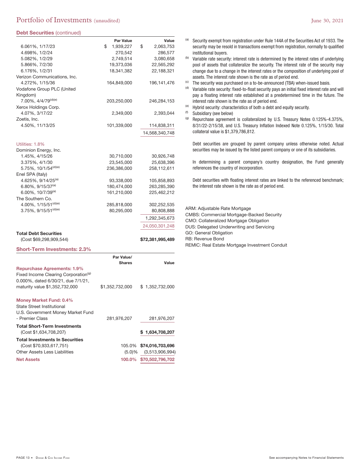# Portfolio of Investments (unaudited) and the set of the set of the set of the set of the set of the set of the set of the set of the set of the set of the set of the set of the set of the set of the set of the set of the s

### **Debt Securities** (continued)

| <b>Debt Securities (continued)</b>               |                  |                         |
|--------------------------------------------------|------------------|-------------------------|
|                                                  | <b>Par Value</b> | Value                   |
| 6.061%, 1/17/23                                  | \$<br>1,939,227  | \$<br>2,063,753         |
| 4.698%, 1/2/24                                   | 270,542          | 286,577                 |
| 5.082%, 1/2/29                                   | 2,749,514        | 3,080,658               |
| 5.866%, 7/2/30                                   | 19,373,036       | 22,565,292              |
| 6.176%, 1/2/31                                   | 18,341,382       | 22,188,321              |
| Verizon Communications, Inc.                     |                  |                         |
| 4.272%, 1/15/36                                  | 164,849,000      | 196,141,476             |
| Vodafone Group PLC (United                       |                  |                         |
| Kingdom)                                         |                  |                         |
| 7.00%, 4/4/79 <sup>(d)(e)</sup>                  | 203,250,000      | 246,284,153             |
| Xerox Holdings Corp.                             |                  |                         |
| 4.07%, 3/17/22                                   | 2,349,000        | 2,393,044               |
| Zoetis, Inc.                                     |                  |                         |
| 4.50%, 11/13/25                                  | 101,339,000      | 114,838,311             |
|                                                  |                  |                         |
|                                                  |                  | 14,568,340,748          |
|                                                  |                  |                         |
| Utilities: 1.8%                                  |                  |                         |
| Dominion Energy, Inc.                            |                  |                         |
| 1.45%, 4/15/26                                   | 30,710,000       | 30,926,748              |
| 3.375%, 4/1/30                                   | 23,545,000       | 25,638,396              |
| 5.75%, $10/1/54(d)(e)$                           | 236,386,000      | 258,112,611             |
| Enel SPA (Italy)                                 |                  |                         |
| 4.625%, 9/14/25 <sup>(a)</sup>                   | 93,338,000       | 105,858,893             |
| $6.80\%$ , 9/15/37 <sup>(a)</sup>                | 180,474,000      | 263,285,390             |
| $6.00\%$ , 10/7/39 <sup>(a)</sup>                | 161,210,000      | 225,462,212             |
| The Southern Co.                                 |                  |                         |
| 4.00%, 1/15/51 <sup>(d)(e)</sup>                 | 285,818,000      | 302,252,535             |
| 3.75%, 9/15/51(d)(e)                             | 80,295,000       | 80,808,888              |
|                                                  |                  | 1,292,345,673           |
|                                                  |                  | 24,050,301,248          |
| <b>Total Debt Securities</b>                     |                  |                         |
| (Cost \$69,298,909,544)                          |                  | \$72,381,995,489        |
|                                                  |                  |                         |
| <b>Short-Term Investments: 2.3%</b>              |                  |                         |
|                                                  | Par Value/       |                         |
|                                                  | <b>Shares</b>    | Value                   |
| <b>Repurchase Agreements: 1.9%</b>               |                  |                         |
| Fixed Income Clearing Corporation <sup>(g)</sup> |                  |                         |
| 0.000%, dated 6/30/21, due 7/1/21,               |                  |                         |
| maturity value \$1,352,732,000                   | \$1,352,732,000  | \$1,352,732,000         |
|                                                  |                  |                         |
| <b>Money Market Fund: 0.4%</b>                   |                  |                         |
| State Street Institutional                       |                  |                         |
| U.S. Government Money Market Fund                |                  |                         |
| - Premier Class                                  | 281,976,207      | 281,976,207             |
|                                                  |                  |                         |
| <b>Total Short-Term Investments</b>              |                  |                         |
| (Cost \$1,634,708,207)                           |                  | \$1,634,708,207         |
| <b>Total Investments In Securities</b>           |                  |                         |
| (Cost \$70.933.617.751)                          |                  | 105.0% \$74,016,703,696 |
| <b>Other Assets Less Liabilities</b>             | $(5.0) \%$       | (3,513,906,994)         |
| <b>Net Assets</b>                                |                  | 100.0% \$70,502,796,702 |
|                                                  |                  |                         |

- (a) Security exempt from registration under Rule 144A of the Securities Act of 1933. The security may be resold in transactions exempt from registration, normally to qualified institutional buyers.
- (b) Variable rate security: interest rate is determined by the interest rates of underlying pool of assets that collateralize the security. The interest rate of the security may change due to a change in the interest rates or the composition of underlying pool of assets. The interest rate shown is the rate as of period end.
- $($ c) The security was purchased on a to-be-announced (TBA) when-issued basis.
- $<sup>(d)</sup>$  Variable rate security: fixed-to-float security pays an initial fixed interest rate and will</sup> pay a floating interest rate established at a predetermined time in the future. The interest rate shown is the rate as of period end.
- (e) Hybrid security: characteristics of both a debt and equity security.
- (f) Subsidiary (see below)
- (g) Repurchase agreement is collateralized by U.S. Treasury Notes 0.125%-4.375%, 8/31/22-2/15/38, and U.S. Treasury Inflation Indexed Note 0.125%, 1/15/30. Total collateral value is \$1,379,786,812.

Debt securities are grouped by parent company unless otherwise noted. Actual securities may be issued by the listed parent company or one of its subsidiaries.

In determining a parent company's country designation, the Fund generally references the country of incorporation.

Debt securities with floating interest rates are linked to the referenced benchmark; the interest rate shown is the rate as of period end.

ARM: Adjustable Rate Mortgage CMBS: Commercial Mortgage-Backed Security CMO: Collateralized Mortgage Obligation DUS: Delegated Underwriting and Servicing GO: General Obligation RB: Revenue Bond REMIC: Real Estate Mortgage Investment Conduit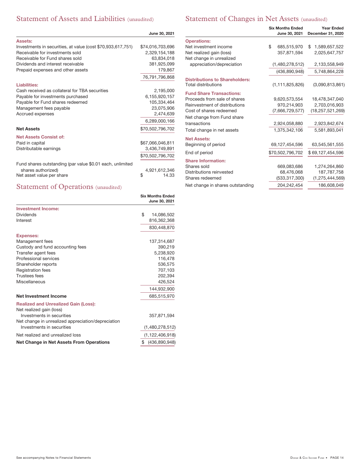# Statement of Assets and Liabilities (unaudited)

# Statement of Changes in Net Assets (unaudited)

|                                                             | June 30, 2021    |
|-------------------------------------------------------------|------------------|
| <b>Assets:</b>                                              |                  |
| Investments in securities, at value (cost \$70,933,617,751) | \$74,016,703,696 |
| Receivable for investments sold                             | 2,329,154,188    |
| Receivable for Fund shares sold                             | 63,834,018       |
| Dividends and interest receivable                           | 381,925,099      |
| Prepaid expenses and other assets                           | 179,867          |
|                                                             | 76,791,796,868   |
| <b>Liabilities:</b>                                         |                  |
| Cash received as collateral for TBA securities              | 2,195,000        |
| Payable for investments purchased                           | 6,155,920,157    |
| Payable for Fund shares redeemed                            | 105,334,464      |
| Management fees payable                                     | 23,075,906       |
| Accrued expenses                                            | 2.474.639        |
|                                                             | 6,289,000,166    |
| <b>Net Assets</b>                                           | \$70,502,796,702 |
| <b>Net Assets Consist of:</b>                               |                  |
| Paid in capital                                             | \$67,066,046,811 |
| Distributable earnings                                      | 3,436,749,891    |
|                                                             | \$70,502,796,702 |
| Fund shares outstanding (par value \$0.01 each, unlimited   |                  |
| shares authorized)                                          | 4,921,612,346    |
| Net asset value per share                                   | \$<br>14.33      |

# Statement of Operations (unaudited)

|                                                    | <b>Six Months Ended</b><br>June 30, 2021 |  |  |
|----------------------------------------------------|------------------------------------------|--|--|
| <b>Investment Income:</b>                          |                                          |  |  |
| <b>Dividends</b>                                   | \$<br>14,086,502                         |  |  |
| Interest                                           | 816,362,368                              |  |  |
|                                                    | 830,448,870                              |  |  |
| <b>Expenses:</b>                                   |                                          |  |  |
| Management fees                                    | 137,314,687                              |  |  |
| Custody and fund accounting fees                   | 390,219                                  |  |  |
| Transfer agent fees                                | 5,238,920                                |  |  |
| Professional services                              | 116,478                                  |  |  |
| Shareholder reports                                | 536,575                                  |  |  |
| <b>Registration fees</b>                           | 707,103                                  |  |  |
| <b>Trustees fees</b>                               | 202,394                                  |  |  |
| Miscellaneous                                      | 426,524                                  |  |  |
|                                                    | 144.932.900                              |  |  |
| <b>Net Investment Income</b>                       | 685,515,970                              |  |  |
| <b>Realized and Unrealized Gain (Loss):</b>        |                                          |  |  |
| Net realized gain (loss)                           |                                          |  |  |
| Investments in securities                          | 357,871,594                              |  |  |
| Net change in unrealized appreciation/depreciation |                                          |  |  |
| Investments in securities                          | (1,480,278,512)                          |  |  |
| Net realized and unrealized loss                   | (1, 122, 406, 918)                       |  |  |
| Net Change in Net Assets From Operations           | \$<br>(436, 890, 948)                    |  |  |

|                                       | <b>Year Ended</b><br>December 31, 2020 |                     |  |
|---------------------------------------|----------------------------------------|---------------------|--|
| <b>Operations:</b>                    |                                        |                     |  |
| Net investment income                 | \$<br>685,515,970                      | 1,589,657,522<br>\$ |  |
| Net realized gain (loss)              | 357,871,594                            | 2,025,647,757       |  |
| Net change in unrealized              |                                        |                     |  |
| appreciation/depreciation             | (1,480,278,512)                        | 2,133,558,949       |  |
|                                       | (436,890,948)                          | 5,748,864,228       |  |
| <b>Distributions to Shareholders:</b> |                                        |                     |  |
| <b>Total distributions</b>            | (1, 111, 825, 826)                     | (3,090,813,861)     |  |
| <b>Fund Share Transactions:</b>       |                                        |                     |  |
| Proceeds from sale of shares          | 9,620,573,554                          | 18,478,347,040      |  |
| Reinvestment of distributions         | 970,214,903                            | 2,703,016,903       |  |
| Cost of shares redeemed               | (7,666,729,577)                        | (18, 257, 521, 269) |  |
| Net change from Fund share            |                                        |                     |  |
| transactions                          | 2,924,058,880                          | 2,923,842,674       |  |
| Total change in net assets            | 1,375,342,106                          | 5,581,893,041       |  |
| <b>Net Assets:</b>                    |                                        |                     |  |
| Beginning of period                   | 69,127,454,596                         | 63,545,561,555      |  |
| End of period                         | \$70,502,796,702                       | \$69,127,454,596    |  |
| <b>Share Information:</b>             |                                        |                     |  |
| Shares sold                           | 669,083,686                            | 1,274,264,860       |  |
| Distributions reinvested              | 68,476,068                             | 187,787,758         |  |
| Shares redeemed                       | (533,317,300)                          | (1, 275, 444, 569)  |  |
| Net change in shares outstanding      | 204,242,454                            | 186,608,049         |  |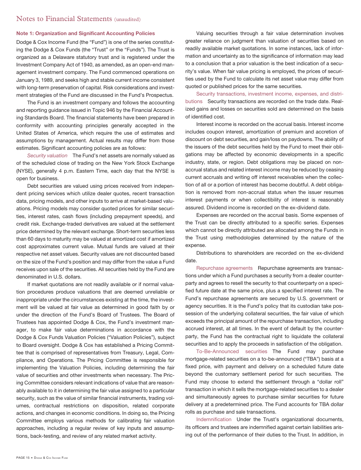# Notes to Financial Statements (unaudited)

### **Note 1: Organization and Significant Accounting Policies**

Dodge & Cox Income Fund (the "Fund") is one of the series constituting the Dodge & Cox Funds (the "Trust" or the "Funds"). The Trust is organized as a Delaware statutory trust and is registered under the Investment Company Act of 1940, as amended, as an open-end management investment company. The Fund commenced operations on January 3, 1989, and seeks high and stable current income consistent with long-term preservation of capital. Risk considerations and investment strategies of the Fund are discussed in the Fund's Prospectus.

The Fund is an investment company and follows the accounting and reporting guidance issued in Topic 946 by the Financial Accounting Standards Board. The financial statements have been prepared in conformity with accounting principles generally accepted in the United States of America, which require the use of estimates and assumptions by management. Actual results may differ from those estimates. Significant accounting policies are as follows:

Security valuation The Fund's net assets are normally valued as of the scheduled close of trading on the New York Stock Exchange (NYSE), generally 4 p.m. Eastern Time, each day that the NYSE is open for business.

Debt securities are valued using prices received from independent pricing services which utilize dealer quotes, recent transaction data, pricing models, and other inputs to arrive at market-based valuations. Pricing models may consider quoted prices for similar securities, interest rates, cash flows (including prepayment speeds), and credit risk. Exchange-traded derivatives are valued at the settlement price determined by the relevant exchange. Short-term securities less than 60 days to maturity may be valued at amortized cost if amortized cost approximates current value. Mutual funds are valued at their respective net asset values. Security values are not discounted based on the size of the Fund's position and may differ from the value a Fund receives upon sale of the securities. All securities held by the Fund are denominated in U.S. dollars.

If market quotations are not readily available or if normal valuation procedures produce valuations that are deemed unreliable or inappropriate under the circumstances existing at the time, the investment will be valued at fair value as determined in good faith by or under the direction of the Fund's Board of Trustees. The Board of Trustees has appointed Dodge & Cox, the Fund's investment manager, to make fair value determinations in accordance with the Dodge & Cox Funds Valuation Policies ("Valuation Policies"), subject to Board oversight. Dodge & Cox has established a Pricing Committee that is comprised of representatives from Treasury, Legal, Compliance, and Operations. The Pricing Committee is responsible for implementing the Valuation Policies, including determining the fair value of securities and other investments when necessary. The Pricing Committee considers relevant indications of value that are reasonably available to it in determining the fair value assigned to a particular security, such as the value of similar financial instruments, trading volumes, contractual restrictions on disposition, related corporate actions, and changes in economic conditions. In doing so, the Pricing Committee employs various methods for calibrating fair valuation approaches, including a regular review of key inputs and assumptions, back-testing, and review of any related market activity.

Valuing securities through a fair value determination involves greater reliance on judgment than valuation of securities based on readily available market quotations. In some instances, lack of information and uncertainty as to the significance of information may lead to a conclusion that a prior valuation is the best indication of a security's value. When fair value pricing is employed, the prices of securities used by the Fund to calculate its net asset value may differ from quoted or published prices for the same securities.

Security transactions, investment income, expenses, and distributions Security transactions are recorded on the trade date. Realized gains and losses on securities sold are determined on the basis of identified cost.

Interest income is recorded on the accrual basis. Interest income includes coupon interest, amortization of premium and accretion of discount on debt securities, and gain/loss on paydowns. The ability of the issuers of the debt securities held by the Fund to meet their obligations may be affected by economic developments in a specific industry, state, or region. Debt obligations may be placed on nonaccrual status and related interest income may be reduced by ceasing current accruals and writing off interest receivables when the collection of all or a portion of interest has become doubtful. A debt obligation is removed from non-accrual status when the issuer resumes interest payments or when collectibility of interest is reasonably assured. Dividend income is recorded on the ex-dividend date.

Expenses are recorded on the accrual basis. Some expenses of the Trust can be directly attributed to a specific series. Expenses which cannot be directly attributed are allocated among the Funds in the Trust using methodologies determined by the nature of the expense.

Distributions to shareholders are recorded on the ex-dividend date.

Repurchase agreements Repurchase agreements are transactions under which a Fund purchases a security from a dealer counterparty and agrees to resell the security to that counterparty on a specified future date at the same price, plus a specified interest rate. The Fund's repurchase agreements are secured by U.S. government or agency securities. It is the Fund's policy that its custodian take possession of the underlying collateral securities, the fair value of which exceeds the principal amount of the repurchase transaction, including accrued interest, at all times. In the event of default by the counterparty, the Fund has the contractual right to liquidate the collateral securities and to apply the proceeds in satisfaction of the obligation.

To-Be-Announced securities The Fund may purchase mortgage-related securities on a to-be-announced ("TBA") basis at a fixed price, with payment and delivery on a scheduled future date beyond the customary settlement period for such securities. The Fund may choose to extend the settlement through a "dollar roll" transaction in which it sells the mortgage-related securities to a dealer and simultaneously agrees to purchase similar securities for future delivery at a predetermined price. The Fund accounts for TBA dollar rolls as purchase and sale transactions.

Indemnification Under the Trust's organizational documents, its officers and trustees are indemnified against certain liabilities arising out of the performance of their duties to the Trust. In addition, in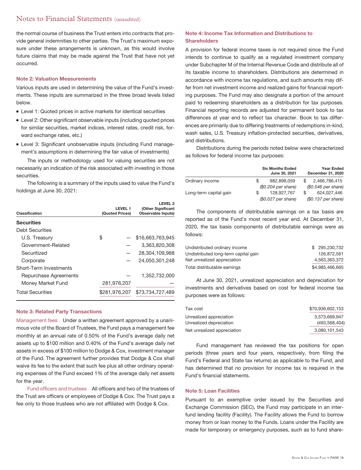# Notes to Financial Statements (unaudited)

the normal course of business the Trust enters into contracts that provide general indemnities to other parties. The Trust's maximum exposure under these arrangements is unknown, as this would involve future claims that may be made against the Trust that have not yet occurred.

### **Note 2: Valuation Measurements**

Various inputs are used in determining the value of the Fund's investments. These inputs are summarized in the three broad levels listed below.

- **Level 1: Quoted prices in active markets for identical securities**
- **Example 2: Other significant observable inputs (including quoted prices** for similar securities, market indices, interest rates, credit risk, forward exchange rates, etc.)
- **Earnal 3: Significant unobservable inputs (including Fund manage**ment's assumptions in determining the fair value of investments)

The inputs or methodology used for valuing securities are not necessarily an indication of the risk associated with investing in those securities.

The following is a summary of the inputs used to value the Fund's holdings at June 30, 2021:

| Classification          | LEVEL 1         | LEVEL <sub>2</sub><br>(Other Significant |
|-------------------------|-----------------|------------------------------------------|
|                         | (Quoted Prices) | Observable Inputs)                       |
| <b>Securities</b>       |                 |                                          |
| <b>Debt Securities</b>  |                 |                                          |
| U.S. Treasury           | \$              | \$16,663,763,945                         |
| Government-Related      |                 | 3.363.820.308                            |
| Securitized             |                 | 28.304.109.988                           |
| Corporate               |                 | 24.050.301.248                           |
| Short-Term Investments  |                 |                                          |
| Repurchase Agreements   |                 | 1,352,732,000                            |
| Money Market Fund       | 281,976,207     |                                          |
| <b>Total Securities</b> | \$281.976.207   | \$73.734.727.489                         |

### **Note 3: Related Party Transactions**

Management fees Under a written agreement approved by a unanimous vote of the Board of Trustees, the Fund pays a management fee monthly at an annual rate of 0.50% of the Fund's average daily net assets up to \$100 million and 0.40% of the Fund's average daily net assets in excess of \$100 million to Dodge & Cox, investment manager of the Fund. The agreement further provides that Dodge & Cox shall waive its fee to the extent that such fee plus all other ordinary operating expenses of the Fund exceed 1% of the average daily net assets for the year.

Fund officers and trustees All officers and two of the trustees of the Trust are officers or employees of Dodge & Cox. The Trust pays a fee only to those trustees who are not affiliated with Dodge & Cox.

## **Note 4: Income Tax Information and Distributions to Shareholders**

A provision for federal income taxes is not required since the Fund intends to continue to qualify as a regulated investment company under Subchapter M of the Internal Revenue Code and distribute all of its taxable income to shareholders. Distributions are determined in accordance with income tax regulations, and such amounts may differ from net investment income and realized gains for financial reporting purposes. The Fund may also designate a portion of the amount paid to redeeming shareholders as a distribution for tax purposes. Financial reporting records are adjusted for permanent book to tax differences at year end to reflect tax character. Book to tax differences are primarily due to differing treatments of redemptions in-kind, wash sales, U.S. Treasury inflation-protected securities, derivatives, and distributions.

Distributions during the periods noted below were characterized as follows for federal income tax purposes:

|                        |   | <b>Six Months Ended</b><br>June 30, 2021 |  | <b>Year Ended</b><br>December 31, 2020 |  |  |
|------------------------|---|------------------------------------------|--|----------------------------------------|--|--|
| Ordinary income        | S | 982.898.059                              |  | 2,466,786,415                          |  |  |
|                        |   | $$0.204$ per share)                      |  | $$0.546$ per share)                    |  |  |
| Long-term capital gain |   | 128.927.767                              |  | 624.027.446                            |  |  |
|                        |   | (\$0.027 per share)                      |  | (\$0.137 per share)                    |  |  |

The components of distributable earnings on a tax basis are reported as of the Fund's most recent year end. At December 31, 2020, the tax basis components of distributable earnings were as follows:

| Undistributed ordinary income        | \$ 295,230,732  |
|--------------------------------------|-----------------|
| Undistributed long-term capital gain | 126.872.561     |
| Net unrealized appreciation          | 4.563.363.372   |
| Total distributable earnings         | \$4.985.466.665 |

At June 30, 2021, unrealized appreciation and depreciation for investments and derivatives based on cost for federal income tax purposes were as follows:

| Tax cost                    | \$70.936.602.153 |
|-----------------------------|------------------|
| Unrealized appreciation     | 3.573.669.947    |
| Unrealized depreciation     | (493, 568, 404)  |
| Net unrealized appreciation | 3,080,101,543    |

Fund management has reviewed the tax positions for open periods (three years and four years, respectively, from filing the Fund's Federal and State tax returns) as applicable to the Fund, and has determined that no provision for income tax is required in the Fund's financial statements.

### **Note 5: Loan Facilities**

Pursuant to an exemptive order issued by the Securities and Exchange Commission (SEC), the Fund may participate in an interfund lending facility (Facility). The Facility allows the Fund to borrow money from or loan money to the Funds. Loans under the Facility are made for temporary or emergency purposes, such as to fund share-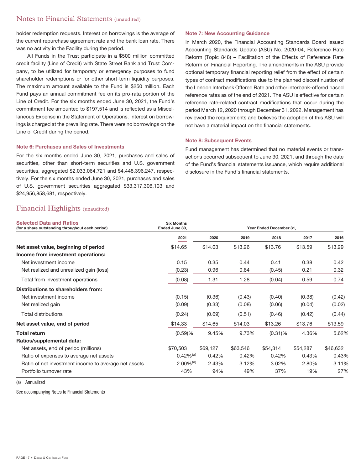# Notes to Financial Statements (unaudited)

holder redemption requests. Interest on borrowings is the average of the current repurchase agreement rate and the bank loan rate. There was no activity in the Facility during the period.

All Funds in the Trust participate in a \$500 million committed credit facility (Line of Credit) with State Street Bank and Trust Company, to be utilized for temporary or emergency purposes to fund shareholder redemptions or for other short-term liquidity purposes. The maximum amount available to the Fund is \$250 million. Each Fund pays an annual commitment fee on its pro-rata portion of the Line of Credit. For the six months ended June 30, 2021, the Fund's commitment fee amounted to \$197,514 and is reflected as a Miscellaneous Expense in the Statement of Operations. Interest on borrowings is charged at the prevailing rate. There were no borrowings on the Line of Credit during the period.

### **Note 6: Purchases and Sales of Investments**

For the six months ended June 30, 2021, purchases and sales of securities, other than short-term securities and U.S. government securities, aggregated \$2,033,064,721 and \$4,448,396,247, respectively. For the six months ended June 30, 2021, purchases and sales of U.S. government securities aggregated \$33,317,306,103 and \$24,956,858,681, respectively.

### **Note 7: New Accounting Guidance**

In March 2020, the Financial Accounting Standards Board issued Accounting Standards Update (ASU) No. 2020-04, Reference Rate Reform (Topic 848) – Facilitation of the Effects of Reference Rate Reform on Financial Reporting. The amendments in the ASU provide optional temporary financial reporting relief from the effect of certain types of contract modifications due to the planned discontinuation of the London Interbank Offered Rate and other interbank-offered based reference rates as of the end of 2021. The ASU is effective for certain reference rate-related contract modifications that occur during the period March 12, 2020 through December 31, 2022. Management has reviewed the requirements and believes the adoption of this ASU will not have a material impact on the financial statements.

### **Note 8: Subsequent Events**

Fund management has determined that no material events or transactions occurred subsequent to June 30, 2021, and through the date of the Fund's financial statements issuance, which require additional disclosure in the Fund's financial statements.

# Financial Highlights (unaudited)

| <b>Selected Data and Ratios</b><br>(for a share outstanding throughout each period) | <b>Six Months</b><br>Ended June 30, | Year Ended December 31, |          |            |          |          |
|-------------------------------------------------------------------------------------|-------------------------------------|-------------------------|----------|------------|----------|----------|
|                                                                                     | 2021                                | 2020                    | 2019     | 2018       | 2017     | 2016     |
| Net asset value, beginning of period                                                | \$14.65                             | \$14.03                 | \$13.26  | \$13.76    | \$13.59  | \$13.29  |
| Income from investment operations:                                                  |                                     |                         |          |            |          |          |
| Net investment income                                                               | 0.15                                | 0.35                    | 0.44     | 0.41       | 0.38     | 0.42     |
| Net realized and unrealized gain (loss)                                             | (0.23)                              | 0.96                    | 0.84     | (0.45)     | 0.21     | 0.32     |
| Total from investment operations                                                    | (0.08)                              | 1.31                    | 1.28     | (0.04)     | 0.59     | 0.74     |
| Distributions to shareholders from:                                                 |                                     |                         |          |            |          |          |
| Net investment income                                                               | (0.15)                              | (0.36)                  | (0.43)   | (0.40)     | (0.38)   | (0.42)   |
| Net realized gain                                                                   | (0.09)                              | (0.33)                  | (0.08)   | (0.06)     | (0.04)   | (0.02)   |
| <b>Total distributions</b>                                                          | (0.24)                              | (0.69)                  | (0.51)   | (0.46)     | (0.42)   | (0.44)   |
| Net asset value, end of period                                                      | \$14.33                             | \$14.65                 | \$14.03  | \$13.26    | \$13.76  | \$13.59  |
| Total return                                                                        | (0.59)%                             | 9.45%                   | 9.73%    | $(0.31)\%$ | 4.36%    | 5.62%    |
| Ratios/supplemental data:                                                           |                                     |                         |          |            |          |          |
| Net assets, end of period (millions)                                                | \$70,503                            | \$69,127                | \$63,546 | \$54,314   | \$54,287 | \$46,632 |
| Ratio of expenses to average net assets                                             | $0.42\%$ <sup>(a)</sup>             | 0.42%                   | 0.42%    | 0.42%      | 0.43%    | 0.43%    |
| Ratio of net investment income to average net assets                                | $2.00\%$ <sup>(a)</sup>             | 2.43%                   | 3.12%    | 3.02%      | 2.80%    | 3.11%    |
| Portfolio turnover rate                                                             | 43%                                 | 94%                     | 49%      | 37%        | 19%      | 27%      |

(a) Annualized

See accompanying Notes to Financial Statements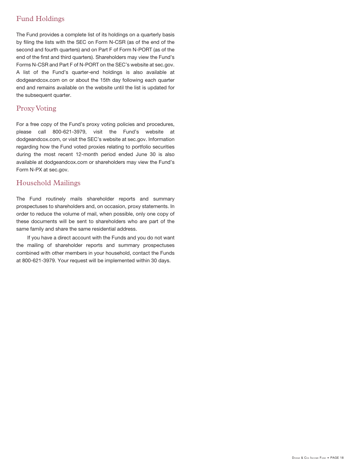# Fund Holdings

The Fund provides a complete list of its holdings on a quarterly basis by filing the lists with the SEC on Form N-CSR (as of the end of the second and fourth quarters) and on Part F of Form N-PORT (as of the end of the first and third quarters). Shareholders may view the Fund's Forms N-CSR and Part F of N-PORT on the SEC's website at sec.gov. A list of the Fund's quarter-end holdings is also available at dodgeandcox.com on or about the 15th day following each quarter end and remains available on the website until the list is updated for the subsequent quarter.

# Proxy Voting

For a free copy of the Fund's proxy voting policies and procedures, please call 800-621-3979, visit the Fund's website at dodgeandcox.com, or visit the SEC's website at sec.gov. Information regarding how the Fund voted proxies relating to portfolio securities during the most recent 12-month period ended June 30 is also available at dodgeandcox.com or shareholders may view the Fund's Form N-PX at sec.gov.

# Household Mailings

The Fund routinely mails shareholder reports and summary prospectuses to shareholders and, on occasion, proxy statements. In order to reduce the volume of mail, when possible, only one copy of these documents will be sent to shareholders who are part of the same family and share the same residential address.

If you have a direct account with the Funds and you do not want the mailing of shareholder reports and summary prospectuses combined with other members in your household, contact the Funds at 800-621-3979. Your request will be implemented within 30 days.